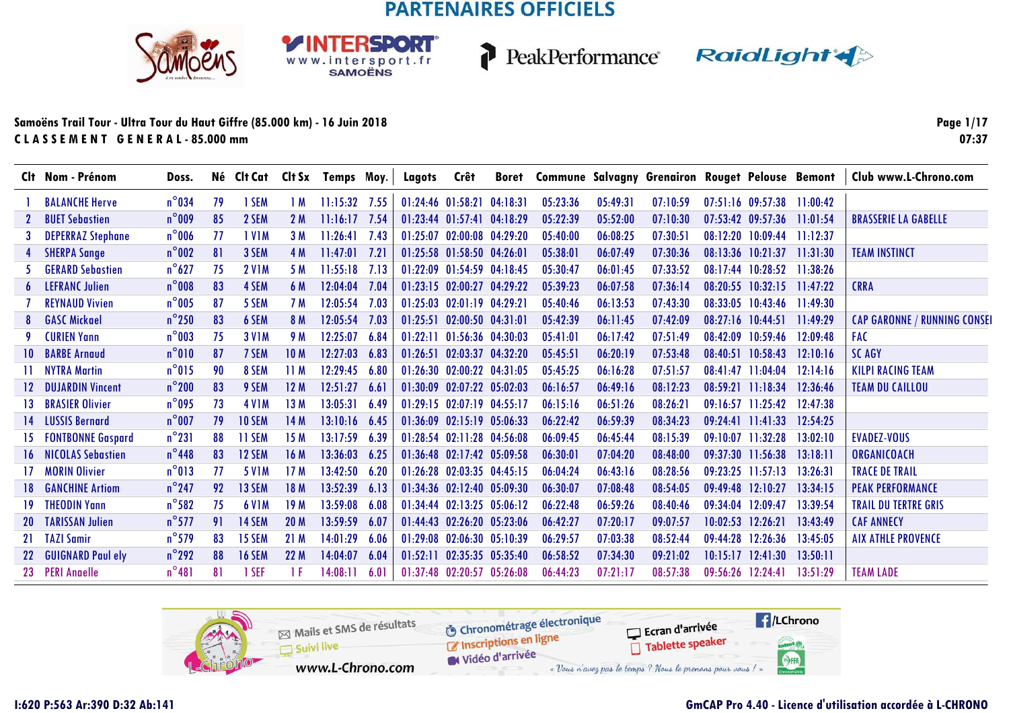**RSDORT** 

WWW.intersport.fr



P

PeakPerformance RaidLight

#### **Samoëns Trail Tour - Ultra Tour du Haut Giffre (85.000 km) - 16 Juin 2018C L A S S E M E N T G E N E R A L - 85.000 mm**

**Page 1/1707:37**

|           | Clt Nom - Prénom         | Doss.           |     |               |                 |                 |      | Né Clt Cat Clt Sx Temps Moy.   Lagots | Crêt                             |          |          |          | Boret Commune Salvagny Grenairon Rouget Pelouse Bemont |                   |                                  |          | Club www.L-Chrono.com               |
|-----------|--------------------------|-----------------|-----|---------------|-----------------|-----------------|------|---------------------------------------|----------------------------------|----------|----------|----------|--------------------------------------------------------|-------------------|----------------------------------|----------|-------------------------------------|
|           | <b>BALANCHE Herve</b>    | $n^{\circ}$ 034 | 79  | 1 SEM         | 1 M             | $11:15:32$ 7.55 |      |                                       | 01:24:46 01:58:21 04:18:31       |          | 05:23:36 | 05:49:31 | 07:10:59                                               |                   | $07:51:16$ $09:57:38$            | 11:00:42 |                                     |
|           | <b>BUET Sebastien</b>    | $n^{\circ}$ 009 | 85  | 2 SEM         | 2 M             | 11:16:17        | 7.54 |                                       | $01:23:44$ $01:57:41$            | 04:18:29 | 05:22:39 | 05:52:00 | 07:10:30                                               |                   | $07:53:42$ $09:57:36$            | 11:01:54 | <b>BRASSERIE LA GABELLE</b>         |
|           | <b>DEPERRAZ Stephane</b> | $n^{\circ}$ 006 | -77 | 1 V1M         | 3M              | 11:26:41        | 7.43 |                                       | 01:25:07 02:00:08 04:29:20       |          | 05:40:00 | 06:08:25 | 07:30:5                                                |                   | 08:12:20 10:09:44                | 11:12:37 |                                     |
|           | <b>SHERPA Sange</b>      | $n^{\circ}$ 002 | 81  | 3 SEM         | 4 M             | 11:47:01        | 7.21 |                                       | 01:25:58 01:58:50 04:26:01       |          | 05:38:01 | 06:07:49 | 07:30:36                                               |                   | $08:13:36$ $10:21:37$            | 11:31:30 | <b>TEAM INSTINCT</b>                |
|           | <b>GERARD Sebastien</b>  | $n^{\circ}627$  | 75  | <b>2 V1M</b>  | 5 M             | 11:55:18        | 7.13 |                                       | 01:22:09 01:54:59 04:18:45       |          | 05:30:47 | 06:01:45 | 07:33:52                                               |                   | 08:17:44 10:28:52                | 11:38:26 |                                     |
|           | <b>LEFRANC Julien</b>    | $n^{\circ}$ 008 | 83  | 4 SEM         | 6 M             | 12:04:04        | 7.04 |                                       | 01:23:15 02:00:27 04:29:22       |          | 05:39:23 | 06:07:58 | 07:36:14                                               |                   | $08:20:55$ $10:32:15$ $11:47:22$ |          | <b>CRRA</b>                         |
|           | <b>REYNAUD Vivien</b>    | $n^{\circ}$ 005 | 87  | 5 SEM         | 7 M             | 12:05:54        | 7.03 |                                       | 01:25:03 02:01:19 04:29:21       |          | 05:40:46 | 06:13:53 | 07:43:30                                               |                   | $08:33:05$ 10:43:46              | 11:49:30 |                                     |
|           | <b>GASC Mickael</b>      | $n^{\circ}$ 250 | 83  | 6 SEM         | 8 M             | 12:05:54 7.03   |      |                                       | 01:25:51 02:00:50 04:31:01       |          | 05:42:39 | 06:11:45 | 07:42:09                                               |                   | 08:27:16 10:44:51                | 11:49:29 | <b>CAP GARONNE / RUNNING CONSEI</b> |
|           | <b>CURIEN Yann</b>       | $n^{\circ}$ 003 | 75  | <b>3 V1M</b>  | 9 M             | 12:25:07        | 6.84 |                                       | $01:22:11$ $01:56:36$ $04:30:03$ |          | 05:41:01 | 06:17:42 | 07:51:49                                               |                   | 08:42:09 10:59:46                | 12.09:48 | <b>FAC</b>                          |
| 10.       | <b>BARBE Arnaud</b>      | $n^{\circ}010$  | 87  | 7 SEM         | <b>10M</b>      | 12:27:03 6.83   |      |                                       | 01:26:51 02:03:37 04:32:20       |          | 05:45:51 | 06:20:19 | 07:53:48                                               |                   | $08:40:51$ 10:58:43              | 12:10:16 | <b>SC AGY</b>                       |
|           | <b>NYTRA Martin</b>      | $n^{\circ}015$  | 90  | 8 SEM         | 11M             | 12:29:45        | 6.80 |                                       | 01:26:30 02:00:22 04:31:05       |          | 05:45:25 | 06:16:28 | 07:51:57                                               |                   | $08:41:47$ 11:04:04              | 12:14:16 | <b>KILPI RACING TEAM</b>            |
|           | <b>DUJARDIN Vincent</b>  | $n^{\circ}$ 200 | 83  | 9 SEM         | 12M             | 12:51:27        | 6.61 |                                       | 01:30:09 02:07:22 05:02:03       |          | 06:16:57 | 06:49:16 | 08:12:23                                               |                   | $08:59:21$ 11:18:34              | 12:36:46 | <b>TEAM DU CAILLOU</b>              |
| 13.       | <b>BRASIER Olivier</b>   | $n^{\circ}$ 095 | 73  | <b>4 V1M</b>  | 13 M            | 13:05:31        | 6.49 |                                       | 01:29:15 02:07:19 04:55:17       |          | 06:15:16 | 06:51:26 | 08:26:21                                               |                   | $09:16:57$ 11:25:42              | 12:47:38 |                                     |
| 14.       | <b>LUSSIS Bernard</b>    | $n^{\circ}$ 007 | 79  | <b>10 SEM</b> | 14 M            | 13:10:16 6.45   |      |                                       | $01:36:09$ $02:15:19$ $05:06:33$ |          | 06:22:42 | 06:59:39 | 08:34:23                                               |                   | $09:24:41$ 11:41:33              | 12:54:25 |                                     |
|           | <b>FONTBONNE Gaspard</b> | $n^{\circ}231$  | 88  | 11 SEM        | 15 M            | 13:17:59        | 6.39 |                                       | $01:28:54$ $02:11:28$ $04:56:08$ |          | 06:09:45 | 06:45:44 | 08:15:39                                               |                   | $09:10:07$ 11:32:28              | 13:02:10 | <b>EVADEZ-VOUS</b>                  |
| 16.       | <b>NICOLAS Sebastien</b> | $n^{\circ}$ 448 | 83  | 12 SEM        | 16 M            | 13:36:03        | 6.25 |                                       | 01:36:48 02:17:42 05:09:58       |          | 06:30:01 | 07:04:20 | 08:48:00                                               |                   | 09:37:30 11:56:38                | 13:18:11 | ORGANICOACH                         |
|           | <b>MORIN Olivier</b>     | $n^{\circ}013$  | 77  | <b>5 V1M</b>  | 17M             | 13:42:50        | 6.20 |                                       | 01:26:28 02:03:35 04:45:15       |          | 06:04:24 | 06:43:16 | 08:28:56                                               |                   | 09:23:25 11:57:13                | 13:26:31 | <b>TRACE DE TRAIL</b>               |
| 18.       | <b>GANCHINE Artiom</b>   | $n^{\circ}$ 247 | 92  | 13 SEM        | 18 M            | 13:52:39        | 6.13 |                                       | 01:34:36 02:12:40 05:09:30       |          | 06:30:07 | 07:08:48 | 08:54:05                                               | 09:49:48 12:10:27 |                                  | 13:34:15 | <b>PEAK PERFORMANCE</b>             |
| 19.       | <b>THEODIN Yann</b>      | $n^{\circ}$ 582 | 75  | <b>6 V1M</b>  | 19 M            | 13:59:08        | 6.08 |                                       | $01:34:44$ $02:13:25$ $05:06:12$ |          | 06:22:48 | 06:59:26 | 08:40:46                                               | 09:34:04 12:09:47 |                                  | 13:39:54 | <b>TRAIL DU TERTRE GRIS</b>         |
| <b>20</b> | <b>TARISSAN Julien</b>   | $n^{\circ}577$  | 91  | <b>14 SEM</b> | 20 <sub>M</sub> | 13:59:59        | 6.07 |                                       | 01:44:43 02:26:20 05:23:06       |          | 06:42:27 | 07:20:17 | 09:07:57                                               |                   | 10:02:53 12:26:21                | 13:43:49 | <b>CAF ANNECY</b>                   |
| 21        | <b>TAZI Samir</b>        | $n^{\circ}$ 579 | 83  | 15 SEM        | 21M             | 14:01:29        | 6.06 |                                       | 01:29:08 02:06:30 05:10:39       |          | 06:29:57 | 07:03:38 | 08:52:44                                               |                   | 09:44:28 12:26:36                | 13:45:05 | <b>AIX ATHLE PROVENCE</b>           |
| 22        | <b>GUIGNARD Paul ely</b> | $n^{\circ}$ 292 | 88  | <b>16 SEM</b> | 22M             | 14:04:07        | 6.04 | 01:52:11                              | 02:35:35 05:35:40                |          | 06:58:52 | 07:34:30 | 09:21:02                                               |                   | $10:15:17$ $12:41:30$            | 13:50:11 |                                     |
| 23        | <b>PERI Anaelle</b>      | $n^{\circ}481$  | 81  | 1 SEF         | 1 F             | 14:08:11        | 6.01 |                                       | 01:37:48 02:20:57 05:26:08       |          | 06:44:23 | 07:21:17 | 08:57:38                                               | 09:56:26 12:24:41 |                                  | 13:51:29 | <b>TEAM LADE</b>                    |

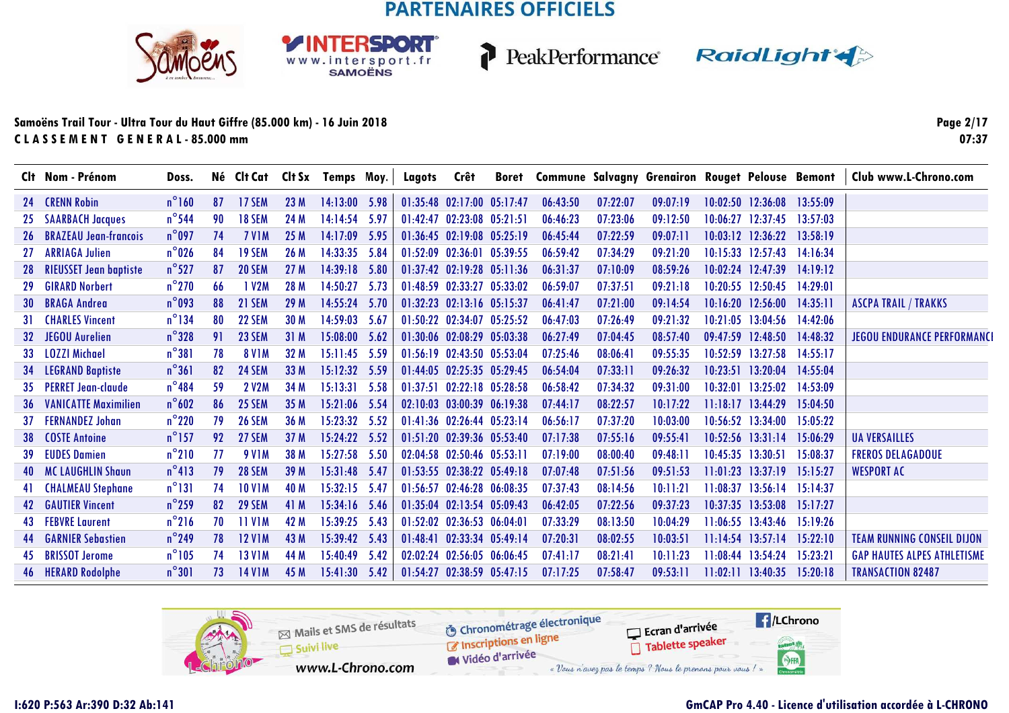SPORT

WWW.intersport.fr



PeakPerformance RaidLight

#### **Samoëns Trail Tour - Ultra Tour du Haut Giffre (85.000 km) - 16 Juin 2018C L A S S E M E N T G E N E R A L - 85.000 mm**

**Page 2/1707:37**

|     | Clt Nom - Prénom              | Doss.           |    |               |      | Né Clt Cat Clt Sx Temps Moy. |        | Lagots   | Crêt                             | <b>Boret</b> |          |          | <b>Commune Salvagny Grenairon Rouget Pelouse Bemont</b> |          |                       |          | Club www.L-Chrono.com              |
|-----|-------------------------------|-----------------|----|---------------|------|------------------------------|--------|----------|----------------------------------|--------------|----------|----------|---------------------------------------------------------|----------|-----------------------|----------|------------------------------------|
| 24  | <b>CRENN Robin</b>            | $n^{\circ}160$  | 87 | 17 SEM        | 23 M | 14:13:00                     | 5.98   |          | $01:35:48$ $02:17:00$ $05:17:47$ |              | 06:43:50 | 07:22:07 | 09:07:19                                                | 10:02:50 | 12:36:08              | 13:55:09 |                                    |
| 25  | <b>SAARBACH Jacques</b>       | $n^{\circ}$ 544 | 90 | <b>18 SEM</b> | 24 M | 14:14:54                     | 5.97   | 01:42:47 | 02:23:08 05:21:51                |              | 06:46:23 | 07:23:06 | 09:12:50                                                | 10:06:27 | 12:37:45              | 13:57:03 |                                    |
| 26  | <b>BRAZEAU Jean-francois</b>  | $n^{\circ}$ 097 | 74 | <b>7 V1M</b>  | 25 M | 14:17:09                     | 5.95   |          | 01:36:45 02:19:08 05:25:19       |              | 06:45:44 | 07:22:59 | 09:07:11                                                |          | 10:03:12 12:36:22     | 13:58:19 |                                    |
| 27  | <b>ARRIAGA Julien</b>         | $n^{\circ}$ 026 | 84 | <b>19 SEM</b> | 26 M | 14:33:35                     | 5.84   | 01:52:09 | 02:36:01                         | 05:39:55     | 06:59:42 | 07:34:29 | 09:21:20                                                |          | $10:15:33$ $12:57:43$ | 14:16:34 |                                    |
| 28  | <b>RIEUSSET Jean baptiste</b> | $n^{\circ}527$  | 87 | <b>20 SEM</b> | 27 M | 14:39:18                     | 5.80   |          | 01:37:42 02:19:28 05:11:36       |              | 06:31:37 | 07:10:09 | 08:59:26                                                |          | 10:02:24 12:47:39     | 14.19:12 |                                    |
| -29 | <b>GIRARD Norbert</b>         | $n^{\circ}$ 270 | 66 | 1 V2M         | 28 M | 14:50:27                     | 5.73   |          | 01:48:59 02:33:27 05:33:02       |              | 06:59:07 | 07:37:51 | 09:21:18                                                |          | 10:20:55 12:50:45     | 14:29:01 |                                    |
| 30  | <b>BRAGA Andrea</b>           | $n^{\circ}$ 093 | 88 | <b>21 SEM</b> | 29 M | 14:55:24                     | 5.70   |          | 01:32:23 02:13:16 05:15:37       |              | 06:41:47 | 07:21:00 | 09:14:54                                                |          | $10:16:20$ 12:56:00   | 14:35:11 | <b>ASCPA TRAIL / TRAKKS</b>        |
| 31. | <b>CHARLES Vincent</b>        | $n^{\circ}$ 134 | 80 | 22 SEM        | 30 M | 14:59:03                     | - 5.67 |          | 01:50:22 02:34:07 05:25:52       |              | 06:47:03 | 07:26:49 | 09:21:32                                                |          | $10:21:05$ 13:04:56   | 14:42:06 |                                    |
| 32  | <b>JEGOU Aurelien</b>         | $n^{\circ}328$  | 91 | 23 SEM        | 31M  | 15:08:00                     | 5.62   |          | 01:30:06 02:08:29 05:03:38       |              | 06:27:49 | 07:04:45 | 08:57:40                                                |          | 09:47:59 12:48:50     | 14:48:32 | <b>JEGOU ENDURANCE PERFORMANCI</b> |
| 33  | <b>LOZZI Michael</b>          | $n^{\circ}381$  | 78 | <b>8 V1M</b>  | 32 M | $15:11:45$ 5.59              |        |          | 01:56:19 02:43:50 05:53:04       |              | 07:25:46 | 08:06:41 | 09:55:35                                                |          | 10:52:59 13:27:58     | 14:55:17 |                                    |
| -34 | <b>LEGRAND Baptiste</b>       | $n^{\circ}361$  | 82 | <b>24 SEM</b> | 33 M | 15:12:32 5.59                |        |          | 01:44:05 02:25:35 05:29:45       |              | 06:54:04 | 07:33:11 | 09:26:32                                                |          | 10:23:51 13:20:04     | 14:55:04 |                                    |
| 35. | <b>PERRET Jean-claude</b>     | $n^{\circ}$ 484 | 59 | <b>2 V2M</b>  | 34 M | 15:13:31                     | 5.58   |          | 01:37:51 02:22:18 05:28:58       |              | 06:58:42 | 07:34:32 | 09:31:00                                                |          | 10:32:01 13:25:02     | 14:53:09 |                                    |
| 36  | <b>VANICATTE Maximilien</b>   | $n^{\circ}602$  | 86 | 25 SEM        | 35 M | 15:21:06                     | - 5.54 |          | 02:10:03 03:00:39 06:19:38       |              | 07:44:17 | 08:22:57 | 10:17:22                                                |          | $11:18:17$ $13:44:29$ | 15:04:50 |                                    |
| 37  | <b>FERNANDEZ Johan</b>        | $n^{\circ}$ 220 | 79 | <b>26 SEM</b> | 36 M | 15:23:32                     | -5.52  |          | 01:41:36 02:26:44 05:23:14       |              | 06:56:17 | 07:37:20 | 10:03:00                                                |          | $10:56:52$ 13:34:00   | 15:05:22 |                                    |
| -38 | <b>COSTE Antoine</b>          | $n^{\circ}$ 157 | 92 | <b>27 SEM</b> | 37 M | 15:24:22                     | 5.52   | 01:51:20 | 02:39:36 05:53:40                |              | 07:17:38 | 07:55:16 | 09:55:41                                                |          | $10:52:56$ $13:31:14$ | 15:06:29 | <b>UA VERSAILLES</b>               |
|     | <b>EUDES Damien</b>           | $n^{\circ}210$  | 77 | <b>9 V1M</b>  | 38 M | 15:27:58                     | 5.50   |          | $02:04:58$ $02:50:46$ $05:53:1$  |              | 07:19:00 | 08:00:40 | 09:48:11                                                |          | 10:45:35 13:30:51     | 15:08:37 | <b>FREROS DELAGADOUE</b>           |
| 40  | <b>MC LAUGHLIN Shaun</b>      | $n^{\circ}413$  | 79 | <b>28 SEM</b> | 39 M | 15:31:48                     | 5.47   |          | $01:53:55$ $02:38:22$ $05:49:18$ |              | 07:07:48 | 07:51:56 | 09:51:53                                                | 11:01:23 | 13:37:19              | 15:15:27 | <b>WESPORT AC</b>                  |
|     | <b>CHALMEAU Stephane</b>      | $n^{\circ}131$  | 74 | <b>10 V1M</b> | 40 M | 15:32:15                     | - 5.47 | 01:56:57 | 02:46:28 06:08:35                |              | 07:37:43 | 08:14:56 | 10:11:21                                                | 11:08:37 | 13:56:14              | 15:14:37 |                                    |
| 42  | <b>GAUTIER Vincent</b>        | $n^{\circ}$ 259 | 82 | 29 SEM        | 41 M | 15:34:16                     | 5.46   | 01:35:04 | 02:13:54 05:09:43                |              | 06:42:05 | 07:22:56 | 09:37:23                                                | 10:37:35 | 13:53:08              | 15:17:27 |                                    |
| 43  | <b>FEBVRE Laurent</b>         | $n^{\circ}216$  | 70 | <b>11 V1M</b> | 42 M | 15:39:25                     | 5.43   |          | 01:52:02 02:36:53 06:04:0        |              | 07:33:29 | 08:13:50 | 10:04:29                                                | 11:06:55 | 13:43:46              | 15:19:26 |                                    |
| 44  | <b>GARNIER Sebastien</b>      | $n^{\circ}$ 249 | 78 | <b>12 V1M</b> | 43 M | 15:39:42                     | 5.43   | 01:48:41 | 02:33:34                         | 05:49:14     | 07:20:31 | 08:02:55 | 10:03:51                                                | 11:14:54 | 13:57:14              | 15:22:10 | <b>TEAM RUNNING CONSEIL DIJON</b>  |
| 45  | <b>BRISSOT Jerome</b>         | $n^{\circ}105$  | 74 | <b>13 V1M</b> | 44 M | 15:40:49                     | 5.42   | 02:02:24 | 02:56:05 06:06:45                |              | 07:41:17 | 08:21:41 | 10:11:23                                                | 11:08:44 | 13:54:24              | 15:23:21 | <b>GAP HAUTES ALPES ATHLETISME</b> |
| 46  | <b>HERARD Rodolphe</b>        | $n^{\circ}301$  | 73 | <b>14 V1M</b> | 45 M | 15:41:30                     | 5.42   | 01:54:27 | 02:38:59 05:47:15                |              | 07:17:25 | 07:58:47 | 09:53:11                                                |          | 11:02:11 13:40:35     | 15:20:18 | <b>TRANSACTION 82487</b>           |

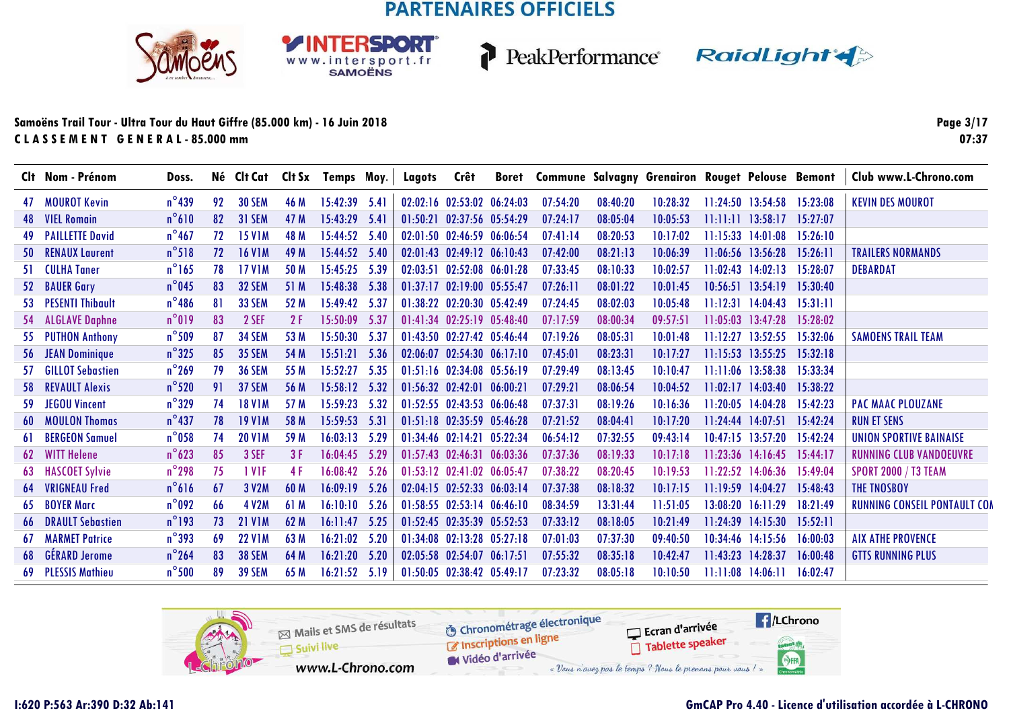**RSDORT** 

WWW.intersport.fr



PeakPerformance RaidLight

#### **Samoëns Trail Tour - Ultra Tour du Haut Giffre (85.000 km) - 16 Juin 2018C L A S S E M E N T G E N E R A L - 85.000 mm**

**Page 3/1707:37**

|     | Clt Nom - Prénom          | Doss.           |    |                   |      | Né Clt Cat Clt Sx Temps Moy. |      | Lagots   | Crêt                             | <b>Boret</b> | <b>Commune Salvagny Grenairon Rouget Pelouse Bemont</b> |          |          |                       |                            |          | Club www.L-Chrono.com               |
|-----|---------------------------|-----------------|----|-------------------|------|------------------------------|------|----------|----------------------------------|--------------|---------------------------------------------------------|----------|----------|-----------------------|----------------------------|----------|-------------------------------------|
| 47  | MOUROT Kevin              | $n^{\circ}$ 439 | 92 | <b>30 SEM</b>     | 46 M | 15:42:39 5.41                |      |          | 02:02:16 02:53:02 06:24:03       |              | 07:54:20                                                | 08:40:20 | 10:28:32 |                       | $11:24:50$ $13:54:58$      | 15:23:08 | <b>KEVIN DES MOUROT</b>             |
| 48  | <b>VIEL Romain</b>        | $n^{\circ}610$  | 82 | 31 SEM            | 47 M | 15:43:29                     | 5.41 | 01:50:21 | 02:37:56 05:54:29                |              | 07:24:17                                                | 08:05:04 | 10:05:53 | 11:11:11              | 13:58:17                   | 15:27:07 |                                     |
| 49  | <b>PAILLETTE David</b>    | $n^{\circ}$ 467 | 72 | <b>15 V1M</b>     | 48 M | 15:44:52 5.40                |      |          | 02:01:50 02:46:59 06:06:54       |              | 07:41:14                                                | 08:20:53 | 10:17:02 |                       | $11:15:33$ $14:01:08$      | 15:26:10 |                                     |
|     | <b>50 RENAUX Laurent</b>  | $n^{\circ}518$  | 72 | <b>16 V1M</b>     | 49 M | 15:44:52 5.40                |      |          | 02:01:43 02:49:12 06:10:43       |              | 07:42:00                                                | 08:21:13 | 10:06:39 |                       | 11:06:56 13:56:28          | 15:26:11 | <b>TRAILERS NORMANDS</b>            |
| 51  | <b>CULHA Taner</b>        | $n^{\circ}165$  | 78 | <b>17 V1M</b>     | 50 M | 15:45:25                     | 5.39 |          | 02:03:51 02:52:08 06:01:28       |              | 07:33:45                                                | 08:10:33 | 10:02:57 |                       | $11:02:43$ $14:02:13$      | 15:28:07 | <b>DEBARDAT</b>                     |
|     | 52 BAUER Gary             | $n^{\circ}$ 045 | 83 | <b>32 SEM</b>     | 51 M | 15:48:38 5.38                |      |          | 01:37:17 02:19:00 05:55:47       |              | 07:26:11                                                | 08:01:22 | 10:01:45 |                       | 10:56:51 13:54:19 15:30:40 |          |                                     |
| 53  | <b>PESENTI Thibault</b>   | $n^{\circ}$ 486 | 81 | <b>33 SEM</b>     | 52 M | 15:49:42                     | 5.37 |          | 01:38:22 02:20:30 05:42:49       |              | 07:24:45                                                | 08:02:03 | 10:05:48 | 11:12:31              | 14:04:43                   | 15:31:11 |                                     |
|     | 54 ALGLAVE Daphne         | $n^{\circ}019$  | 83 | 2 SEF             | 2F   | 15:50:09 5.37                |      |          | 01:41:34 02:25:19 05:48:40       |              | 07:17:59                                                | 08:00:34 | 09:57:51 |                       | $11:05:03$ $13:47:28$      | 15:28:02 |                                     |
| 55  | <b>PUTHON Anthony</b>     | $n^{\circ}$ 509 | 87 | <b>34 SEM</b>     | 53 M | 15:50:30 5.37                |      |          | 01:43:50 02:27:42 05:46:44       |              | 07:19:26                                                | 08:05:31 | 10:01:48 |                       | $11:12:27$ 13:52:55        | 15:32:06 | <b>SAMOENS TRAIL TEAM</b>           |
|     | 56 JEAN Dominique         | $n^{\circ}325$  | 85 | <b>35 SEM</b>     | 54 M | $15:51:21$ 5.36              |      |          | 02:06:07 02:54:30 06:17:10       |              | 07:45:01                                                | 08:23:31 | 10:17:27 |                       | 11:15:53 13:55:25 15:32:18 |          |                                     |
| -57 | <b>GILLOT Sebastien</b>   | $n^{\circ}$ 269 | 79 | <b>36 SEM</b>     | 55 M | 15:52:27                     | 5.35 |          | 01:51:16 02:34:08 05:56:19       |              | 07:29:49                                                | 08:13:45 | 10:10:47 |                       | $11:11:06$ 13:58:38        | 15:33:34 |                                     |
| 58. | <b>REVAULT Alexis</b>     | $n^{\circ}520$  | 91 | 37 SEM            | 56 M | 15:58:12 5.32                |      |          | $01:56:32$ $02:42:01$ $06:00:21$ |              | 07:29:21                                                | 08:06:54 | 10:04:52 |                       | $11:02:17$ $14:03:40$      | 15:38:22 |                                     |
| -59 | <b>JEGOU Vincent</b>      | $n^{\circ}329$  | 74 | <b>18 V1M</b>     | 57 M | 15:59:23                     | 5.32 |          | 01:52:55 02:43:53 06:06:48       |              | 07:37:31                                                | 08:19:26 | 10:16:36 |                       | 11:20:05 14:04:28          | 15:42:23 | <b>PAC MAAC PLOUZANE</b>            |
| 60  | <b>MOULON Thomas</b>      | $n^{\circ}$ 437 | 78 | <b>19 V1M</b>     | 58 M | 15:59:53                     | 5.31 |          | 01:51:18 02:35:59 05:46:28       |              | 07:21:52                                                | 08:04:41 | 10:17:20 | $11:24:44$ $14:07:51$ |                            | 15:42:24 | <b>RUN ET SENS</b>                  |
|     | <b>BERGEON Samuel</b>     | $n^{\circ}$ 058 | 74 | <b>20 V1M</b>     | 59 M | 16:03:13                     | 5.29 |          | 01:34:46 02:14:21 05:22:34       |              | 06:54:12                                                | 07:32:55 | 09:43:14 |                       | $10:47:15$ 13:57:20        | 15:42:24 | <b>UNION SPORTIVE BAINAISE</b>      |
| 62  | <b>WITT Helene</b>        | $n^{\circ}623$  | 85 | 3 SEF             | 3F   | 16:04:45                     | 5.29 |          | $01:57:43$ $02:46:31$ $06:03:36$ |              | 07:37:36                                                | 08:19:33 | 10:17:18 |                       | $11:23:36$ 14:16:45        | 15:44:17 | <b>RUNNING CLUB VANDOEUVRE</b>      |
| 63  | <b>HASCOET Sylvie</b>     | $n^{\circ}$ 298 | 75 | 1 V <sub>IF</sub> | 4 F  | 16:08:42                     | 5.26 |          | 01:53:12 02:41:02 06:05:47       |              | 07:38:22                                                | 08:20:45 | 10:19:53 |                       | 11:22:52 14:06:36          | 15:49:04 | <b>SPORT 2000 / T3 TEAM</b>         |
| 64  | <b>VRIGNEAU Fred</b>      | $n^{\circ}616$  | 67 | 3 V2M             | 60 M | 16:09:19                     | 5.26 |          | 02:04:15 02:52:33 06:03:14       |              | 07:37:38                                                | 08:18:32 | 10:17:15 | 11:19:59              | 14:04:27                   | 15:48:43 | THE TNOSBOY                         |
| 65  | <b>BOYER Marc</b>         | $n^{\circ}092$  | 66 | 4 V2M             | 61 M | 16:10:10                     | 5.26 |          | 01:58:55 02:53:14 06:46:10       |              | 08:34:59                                                | 13:31:44 | 11:51:05 | 13:08:20              | 16:11:29                   | 18:21:49 | <b>RUNNING CONSEIL PONTAULT COM</b> |
| -66 | <b>DRAULT Sebastien</b>   | $n^{\circ}$ 193 | 73 | <b>21 V1M</b>     | 62 M | 16:11:47                     | 5.25 |          | 01:52:45 02:35:39 05:52:53       |              | 07:33:12                                                | 08:18:05 | 10:21:49 | 11:24:39              | 14:15:30                   | 15:52:11 |                                     |
| 67  | <b>MARMET Patrice</b>     | $n^{\circ}$ 393 | 69 | <b>22 V1M</b>     | 63 M | 16:21:02                     | 5.20 |          | 01:34:08 02:13:28 05:27:18       |              | 07:01:03                                                | 07:37:30 | 09:40:50 |                       | 10:34:46 14:15:56          | 16:00:03 | <b>AIX ATHE PROVENCE</b>            |
|     | 68 GÉRARD Jerome          | $n^{\circ}$ 264 | 83 | <b>38 SEM</b>     | 64 M | 16:21:20                     | 5.20 |          | 02:05:58 02:54:07 06:17:51       |              | 07:55:32                                                | 08:35:18 | 10:42:47 | 11:43:23              | 14:28:37                   | 16:00:48 | <b>GTTS RUNNING PLUS</b>            |
|     | <b>69 PLESSIS Mathieu</b> | $n^{\circ}$ 500 | 89 | <b>39 SEM</b>     | 65 M | 16:21:52                     | 5.19 |          | 01:50:05 02:38:42 05:49:17       |              | 07:23:32                                                | 08:05:18 | 10:10:50 |                       | 11:11:08 14:06:11 16:02:47 |          |                                     |

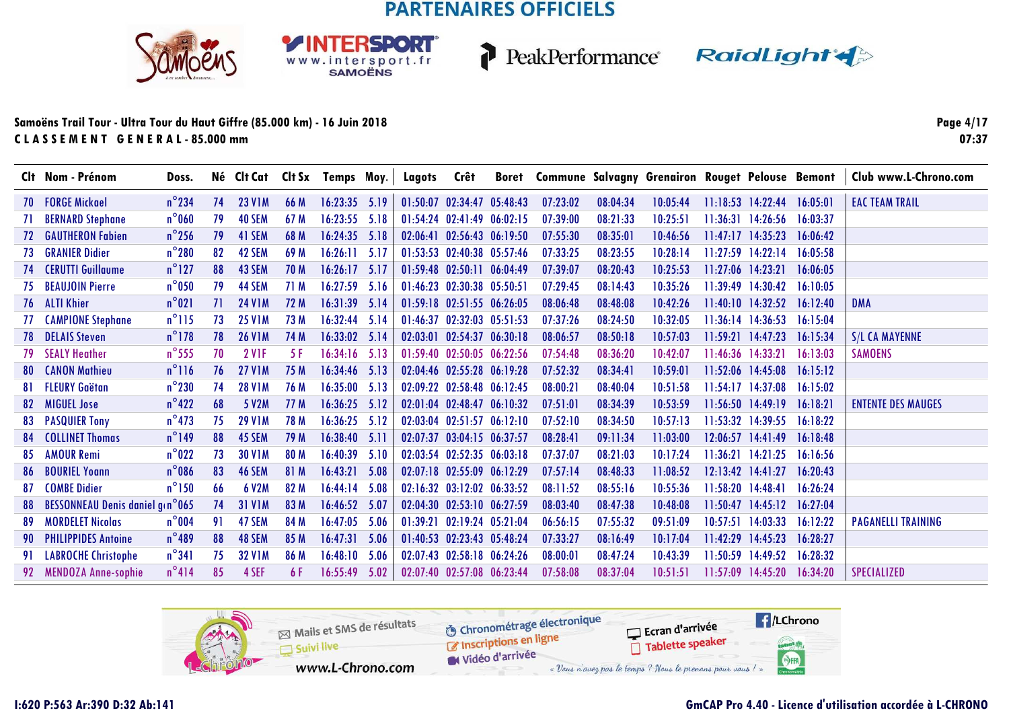**RSDORT** 

WWW.intersport.fr



PeakPerformance RaidLight

#### **Samoëns Trail Tour - Ultra Tour du Haut Giffre (85.000 km) - 16 Juin 2018C L A S S E M E N T G E N E R A L - 85.000 mm**

**Page 4/1707:37**

|     | Clt Nom - Prénom                | Doss.           |    |               |             | Né Clt Cat Clt Sx Temps Moy. |      | Lagots   | Crêt                             | Boret Commune Salvagny Grenairon Rouget Pelouse Bemont |          |          |                   |                       |          | Club www.L-Chrono.com     |
|-----|---------------------------------|-----------------|----|---------------|-------------|------------------------------|------|----------|----------------------------------|--------------------------------------------------------|----------|----------|-------------------|-----------------------|----------|---------------------------|
| 70  | <b>FORGE Mickael</b>            | $n^{\circ}$ 234 | 74 | <b>23 V1M</b> | 66 M        | $16:23:35$ 5.19              |      | 01:50:07 | 02:34:47 05:48:43                | 07:23:02                                               | 08:04:34 | 10:05:44 |                   | $11:18:53$ $14:22:44$ | 16:05:01 | <b>EAC TEAM TRAIL</b>     |
|     | <b>BERNARD Stephane</b>         | $n^{\circ}$ 060 | 79 | <b>40 SEM</b> | 67 M        | 16:23:55                     | 5.18 | 01:54:24 | $02:41:49$ $06:02:15$            | 07:39:00                                               | 08:21:33 | 10:25:51 | 11:36:31          | 14:26:56              | 16:03:37 |                           |
| 72. | <b>GAUTHERON Fabien</b>         | $n^{\circ}$ 256 | 79 | 41 SEM        | 68 M        | 16:24:35                     | 5.18 | 02:06:41 | 02:56:43 06:19:50                | 07:55:30                                               | 08:35:01 | 10:46:56 | 11:47:17          | 14:35:23              | 16:06:42 |                           |
| 73  | <b>GRANIER Didier</b>           | $n^{\circ}280$  | 82 | 42 SEM        | 69 M        | 16:26:11                     | 5.17 |          | 01:53:53 02:40:38 05:57:46       | 07:33:25                                               | 08:23:55 | 10:28:14 | 11:27:59          | 14:22:14              | 16:05:58 |                           |
| 74  | <b>CERUTTI Guillaume</b>        | $n^{\circ}$ 127 | 88 | 43 SEM        | <b>70 M</b> | $16:26:17$ 5.17              |      |          | $01:59:48$ $02:50:11$ $06:04:49$ | 07:39:07                                               | 08:20:43 | 10:25:53 | 11:27:06 14:23:21 |                       | 16:06:05 |                           |
| 75  | <b>BEAUJOIN Pierre</b>          | $n^{\circ}$ 050 | 79 | 44 SEM        | 71 M        | $16:27:59$ 5.16              |      |          | 01:46:23 02:30:38 05:50:51       | 07:29:45                                               | 08:14:43 | 10:35:26 |                   | 11:39:49 14:30:42     | 16:10:05 |                           |
| 76  | <b>ALTI Khier</b>               | $n^{\circ}021$  | 71 | <b>24 V1M</b> | 72 M        | $16:31:39$ 5.14              |      |          | 01:59:18 02:51:55 06:26:05       | 08:06:48                                               | 08:48:08 | 10:42:26 |                   | $11:40:10$ $14:32:52$ | 16:12:40 | <b>DMA</b>                |
| 77  | <b>CAMPIONE Stephane</b>        | $n^{\circ}115$  | 73 | <b>25 V1M</b> | 73 M        | $16:32:44$ 5.14              |      |          | 01:46:37 02:32:03 05:51:53       | 07:37:26                                               | 08:24:50 | 10:32:05 |                   | $11:36:14$ $14:36:53$ | 16:15:04 |                           |
| 78. | <b>DELAIS Steven</b>            | $n^{\circ}$ 178 | 78 | <b>26 V1M</b> | 74 M        | 16:33:02 5.14                |      |          | 02:03:01 02:54:37 06:30:18       | 08:06:57                                               | 08:50:18 | 10:57:03 |                   | $11:59:21$ $14:47:23$ | 16:15:34 | <b>S/L CA MAYENNE</b>     |
| 79. | <b>SEALY Heather</b>            | $n^{\circ}$ 555 | 70 | <b>2 V1F</b>  | 5 F         | $16:34:16$ 5.13              |      |          | 01:59:40 02:50:05 06:22:56       | 07:54:48                                               | 08:36:20 | 10:42:07 |                   | $11:46:36$ $14:33:21$ | 16:13:03 | <b>SAMOENS</b>            |
| 80. | <b>CANON Mathieu</b>            | $n^{\circ}116$  | 76 | <b>27 V1M</b> | 75 M        | $16:34:46$ 5.13              |      |          | 02:04:46 02:55:28 06:19:28       | 07:52:32                                               | 08:34:41 | 10:59:01 |                   | 11:52:06 14:45:08     | 16:15:12 |                           |
| 81. | <b>FLEURY Gaëtan</b>            | $n^{\circ}$ 230 | 74 | <b>28 V1M</b> | 76 M        | $16:35:00$ 5.13              |      |          | 02:09:22 02:58:48 06:12:45       | 08:00:21                                               | 08:40:04 | 10:51:58 |                   | $11:54:17$ $14:37:08$ | 16:15:02 |                           |
| 82  | <b>MIGUEL Jose</b>              | $n^{\circ}422$  | 68 | 5 V2M         | 77 M        | $16:36:25$ 5.12              |      | 02:01:04 | 02:48:47 06:10:32                | 07:51:01                                               | 08:34:39 | 10:53:59 |                   | $11:56:50$ $14:49:19$ | 16:18:21 | <b>ENTENTE DES MAUGES</b> |
| 83  | <b>PASQUIER Tony</b>            | $n^{\circ}$ 473 | 75 | <b>29 V1M</b> | 78 M        | 16:36:25                     | 5.12 | 02:03:04 | $02:51:57$ $06:12:10$            | 07:52:10                                               | 08:34:50 | 10:57:13 |                   | $11:53:32$ $14:39:55$ | 16:18:22 |                           |
|     | <b>COLLINET Thomas</b>          | $n^{\circ}$ 149 | 88 | 45 SEM        | 79 M        | $16:38:40$ 5.11              |      | 02:07:37 | 03:04:15 06:37:57                | 08:28:41                                               | 09:11:34 | 11:03:00 |                   | $12:06:57$ $14:41:49$ | 16:18:48 |                           |
| 85  | <b>AMOUR Remi</b>               | $n^{\circ}$ 022 | 73 | <b>30 V1M</b> | 80 M        | 16:40:39                     | 5.10 |          | 02:03:54 02:52:35 06:03:18       | 07:37:07                                               | 08:21:03 | 10:17:24 |                   | 11:36:21 14:21:25     | 16:16:56 |                           |
| 86  | <b>BOURIEL Yoann</b>            | $n^{\circ}$ 086 | 83 | 46 SEM        | 81 M        | 16:43:21                     | 5.08 | 02:07:18 | 02:55:09 06:12:29                | 07:57:14                                               | 08:48:33 | 11:08:52 |                   | $12:13:42$ $14:41:27$ | 16:20:43 |                           |
| 87  | <b>COMBE Didier</b>             | $n^{\circ}$ 150 | 66 | <b>6 V2M</b>  | 82 M        | 16:44:14                     | 5.08 |          | 02:16:32 03:12:02 06:33:52       | 08:11:52                                               | 08:55:16 | 10:55:36 | 11:58:20 14:48:41 |                       | 16:26:24 |                           |
| 88  | BESSONNEAU Denis daniel g(n°065 |                 | 74 | <b>31 V1M</b> | 83 M        | 16:46:52                     | 5.07 | 02:04:30 | 02:53:10 06:27:59                | 08:03:40                                               | 08:47:38 | 10:48:08 | 11:50:47          | 14:45:12              | 16:27:04 |                           |
| 89  | <b>MORDELET Nicolas</b>         | $n^{\circ}$ 004 | 91 | 47 SEM        | 84 M        | 16:47:05                     | 5.06 |          | 01:39:21 02:19:24 05:21:04       | 06:56:15                                               | 07:55:32 | 09:51:09 | 10:57:51          | 14:03:33              | 16:12:22 | <b>PAGANELLI TRAINING</b> |
| 90  | <b>PHILIPPIDES Antoine</b>      | $n^{\circ}489$  | 88 | 48 SEM        | 85 M        | 16:47:31                     | 5.06 | 01:40:53 | 02:23:43 05:48:24                | 07:33:27                                               | 08:16:49 | 10:17:04 | 11:42:29          | 14:45:23              | 16:28:27 |                           |
| 91  | <b>LABROCHE Christophe</b>      | $n^{\circ}341$  | 75 | <b>32 V1M</b> | 86 M        | 16:48:10                     | 5.06 |          | 02:07:43 02:58:18 06:24:26       | 08:00:01                                               | 08:47:24 | 10:43:39 | 11:50:59          | 14:49:52              | 16:28:32 |                           |
| 92  | <b>MENDOZA Anne-sophie</b>      | $n^{\circ}414$  | 85 | 4 SEF         | 6 F         | 16:55:49                     | 5.02 |          | 02:07:40 02:57:08 06:23:44       | 07:58:08                                               | 08:37:04 | 10:51:51 | 11:57:09          | 14:45:20              | 16:34:20 | <b>SPECIALIZED</b>        |

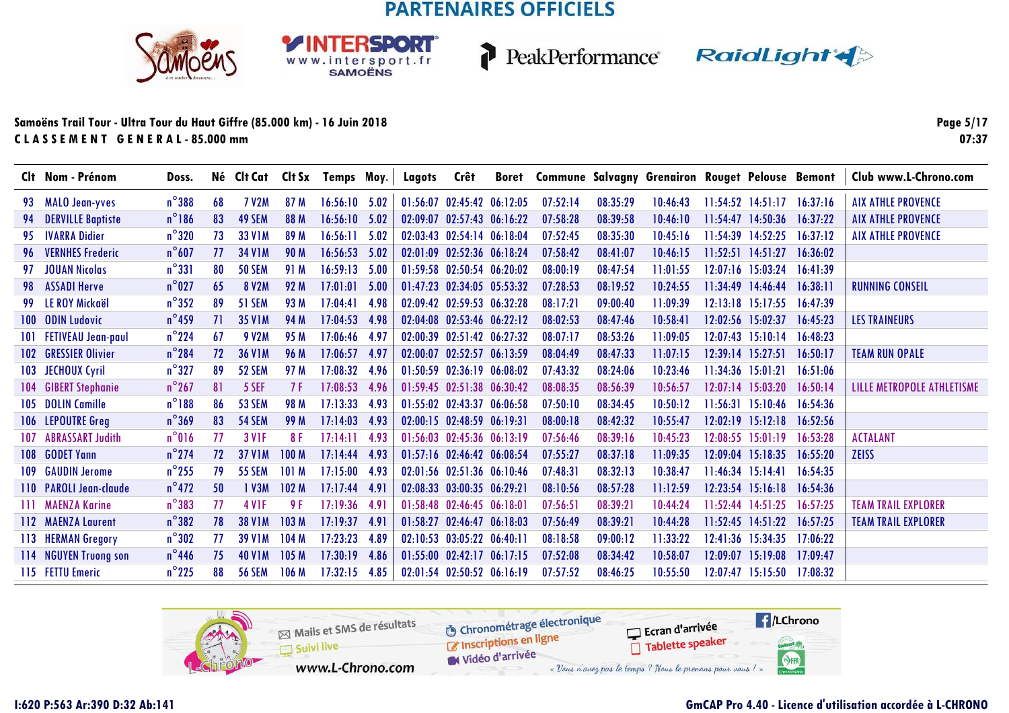SPORT

WWW.intersport.fr



P

PeakPerformance RaidLight

#### **Samoëns Trail Tour - Ultra Tour du Haut Giffre (85.000 km) - 16 Juin 2018C L A S S E M E N T G E N E R A L - 85.000 mm**

**Page 5/1707:37**

|         | Clt Nom - Prénom          | Doss.           |    |                   |                  | Né Clt Cat Clt Sx Temps Moy. |      | Lagots | Crêt                             | Boret Commune Salvagny Grenairon Rouget Pelouse Bemont |          |          |          |                                  |          | Club www.L-Chrono.com      |
|---------|---------------------------|-----------------|----|-------------------|------------------|------------------------------|------|--------|----------------------------------|--------------------------------------------------------|----------|----------|----------|----------------------------------|----------|----------------------------|
|         | 93 MALO Jean-yves         | $n^{\circ}$ 388 | 68 | <b>7 V2M</b>      | 87 M             | $16:56:10$ 5.02              |      |        | 01:56:07 02:45:42 06:12:05       | 07:52:14                                               | 08:35:29 | 10:46:43 |          | $11:54:52$ $14:51:17$ $16:37:16$ |          | <b>AIX ATHLE PROVENCE</b>  |
| 94      | <b>DERVILLE Baptiste</b>  | $n^{\circ}$ 186 | 83 | 49 SEM            | 88 M             | $16:56:10$ 5.02              |      |        | 02:09:07 02:57:43 06:16:22       | 07:58:28                                               | 08:39:58 | 10:46:10 |          | 11:54:47 14:50:36                | 16:37:22 | <b>AIX ATHLE PROVENCE</b>  |
| 95.     | <b>IVARRA Didier</b>      | $n^{\circ}320$  | 73 | 33 V1M            | 89 M             | 16:56:11                     | 5.02 |        | 02:03:43 02:54:14 06:18:04       | 07:52:45                                               | 08:35:30 | 10:45:16 |          | 11:54:39 14:52:25                | 16:37:12 | <b>AIX ATHLE PROVENCE</b>  |
| 96      | <b>VERNHES Frederic</b>   | $n^{\circ}607$  | 77 | <b>34 V1M</b>     | 90 M             | $16:56:53$ 5.02              |      |        | 02:01:09 02:52:36 06:18:24       | 07:58:42                                               | 08:41:07 | 10:46:15 |          | $11:52:51$ $14:51:27$            | 16:36:02 |                            |
|         | <b>JOUAN Nicolas</b>      | $n^{\circ}331$  | 80 | <b>50 SEM</b>     | 91 M             | $16:59:13$ 5.00              |      |        | 01:59:58 02:50:54 06:20:02       | 08:00:19                                               | 08:47:54 | 11:01:55 |          | $12:07:16$ 15:03:24              | 16:41:39 |                            |
| 98      | <b>ASSADI Herve</b>       | $n^{\circ}$ 027 | 65 | 8 V2M             | 92 M             | 17:01:01                     | 5.00 |        | 01:47:23 02:34:05 05:53:32       | 07:28:53                                               | 08:19:52 | 10:24:55 |          | $11:34:49$ $14:46:44$            | 16:38:11 | <b>RUNNING CONSEIL</b>     |
| 99      | <b>LE ROY Mickaël</b>     | $n^{\circ}352$  | 89 | <b>51 SEM</b>     | 93 M             | 17:04:41                     | 4.98 |        | 02:09:42 02:59:53 06:32:28       | 08:17:21                                               | 09:00:40 | 11:09:39 |          | $12:13:18$ $15:17:55$            | 16:47:39 |                            |
| $100-1$ | <b>ODIN Ludovic</b>       | $n^{\circ}$ 459 | 71 | <b>35 V1M</b>     | 94 M             | 17:04:53                     | 4.98 |        | 02:04:08 02:53:46 06:22:12       | 08:02:53                                               | 08:47:46 | 10:58:41 |          | 12:02:56 15:02:37                | 16:45:23 | <b>LES TRAINEURS</b>       |
| 101     | <b>FETIVEAU Jean-paul</b> | $n^{\circ}$ 224 | 67 | <b>9 V2M</b>      | 95 M             | 17:06:46                     | 4.97 |        | 02:00:39 02:51:42 06:27:32       | 08:07:17                                               | 08:53:26 | 11:09:05 |          | $12:07:43$ $15:10:14$            | 16:48:23 |                            |
| 102     | <b>GRESSIER Olivier</b>   | $n^{\circ}$ 284 | 72 | <b>36 V1M</b>     | 96 M             | 17:06:57                     | 4.97 |        | 02:00:07 02:52:57 06:13:59       | 08:04:49                                               | 08:47:33 | 11:07:15 |          | $12:39:14$ $15:27:51$            | 16:50:17 | <b>TEAM RUN OPALE</b>      |
| 103     | JECHOUX Cyril             | $n^{\circ}327$  | 89 | 52 SEM            | 97 M             | 17:08:32                     | 4.96 |        | 01:50:59 02:36:19 06:08:02       | 07:43:32                                               | 08:24:06 | 10:23:46 |          | $11:34:36$ $15:01:21$            | 16:51:06 |                            |
| 104     | <b>GIBERT Stephanie</b>   | $n^{\circ}$ 267 | 81 | 5 SEF             | 7 F              | 17:08:53                     | 4.96 |        | 01:59:45 02:51:38 06:30:42       | 08:08:35                                               | 08:56:39 | 10:56:57 |          | $12:07:14$ 15:03:20              | 16:50:14 | LILLE METROPOLE ATHLETISME |
| 105     | <b>DOLIN Camille</b>      | $n^{\circ}188$  | 86 | 53 SEM            | 98 M             | 17:13:33                     | 4.93 |        | 01:55:02 02:43:37 06:06:58       | 07:50:10                                               | 08:34:45 | 10:50:12 |          | $11:56:31$ $15:10:46$            | 16:54:36 |                            |
|         | 106 LEPOUTRE Greg         | $n^{\circ}369$  | 83 | <b>54 SEM</b>     | 99 M             | 17:14:03                     | 4.93 |        | $02:00:15$ $02:48:59$ $06:19:31$ | 08:00:18                                               | 08:42:32 | 10:55:47 |          | $12:02:19$ $15:12:18$            | 16:52:56 |                            |
| 107     | <b>ABRASSART Judith</b>   | $n^{\circ}016$  | 77 | <b>3 V1F</b>      | 8 F              | 17:14:11                     | 4.93 |        | $01:56:03$ $02:45:36$ $06:13:19$ | 07:56:46                                               | 08:39:16 | 10:45:23 |          | $12:08:55$ $15:01:19$            | 16:53:28 | <b>ACTALANT</b>            |
| 108     | <b>GODET Yann</b>         | $n^{\circ}$ 274 | 72 | <b>37 V1M</b>     | 100 <sub>M</sub> | 17:14:44                     | 4.93 |        | $01:57:16$ $02:46:42$ $06:08:54$ | 07:55:27                                               | 08:37:18 | 11:09:35 |          | $12:09:04$ 15:18:35              | 16:55:20 | <b>ZEISS</b>               |
| 109     | <b>GAUDIN Jerome</b>      | $n^{\circ}$ 255 | 79 | <b>55 SEM</b>     | 101 M            | 17:15:00                     | 4.93 |        | 02:01:56 02:51:36 06:10:46       | 07:48:31                                               | 08:32:13 | 10:38:47 |          | 11:46:34 15:14:41                | 16:54:35 |                            |
|         | 110 PAROLI Jean-claude    | $n^{\circ}472$  | 50 | 1 V3M             | 102 M            | 17:17:44                     | 4.91 |        | 02:08:33 03:00:35 06:29:21       | 08:10:56                                               | 08:57:28 | 11:12:59 |          | $12:23:54$ 15:16:18              | 16:54:36 |                            |
| ШL      | <b>MAENZA Karine</b>      | $n^{\circ}383$  | 77 | 4 V <sub>IF</sub> | 9 F              | 17:19:36                     | 4.91 |        | 01:58:48 02:46:45 06:18:01       | 07:56:51                                               | 08:39:21 | 10:44:24 |          | $11:52:44$ $14:51:25$            | 16:57:25 | <b>TEAM TRAIL EXPLORER</b> |
|         | 112 MAENZA Laurent        | $n^{\circ}382$  | 78 | <b>38 V1M</b>     | 103 M            | 17:19:37                     | 4.91 |        | 01:58:27 02:46:47 06:18:03       | 07:56:49                                               | 08:39:21 | 10:44:28 |          | $11:52:45$ $14:51:22$            | 16:57:25 | <b>TEAM TRAIL EXPLORER</b> |
|         | 113 HERMAN Gregory        | $n^{\circ}302$  | 77 | <b>39 V1M</b>     | 104 M            | 17:23:23                     | 4.89 |        | 02:10:53 03:05:22 06:40:11       | 08:18:58                                               | 09:00:12 | 11:33:22 |          | 12:41:36 15:34:35                | 17:06:22 |                            |
|         | 114 NGUYEN Truong son     | $n^{\circ}$ 446 | 75 | <b>40 V1M</b>     | 105 M            | 17:30:19                     | 4.86 |        | 01:55:00 02:42:17 06:17:15       | 07:52:08                                               | 08:34:42 | 10:58:07 | 12:09:07 | 15:19:08                         | 17:09:47 |                            |
|         | 115 FETTU Emeric          | $n^{\circ}$ 225 | 88 | <b>56 SEM</b>     | 106 <sub>M</sub> | 17:32:15                     | 4.85 |        | 02:01:54 02:50:52 06:16:19       | 07:57:52                                               | 08:46:25 | 10:55:50 |          | $12:07:47$ 15:15:50              | 17:08:32 |                            |

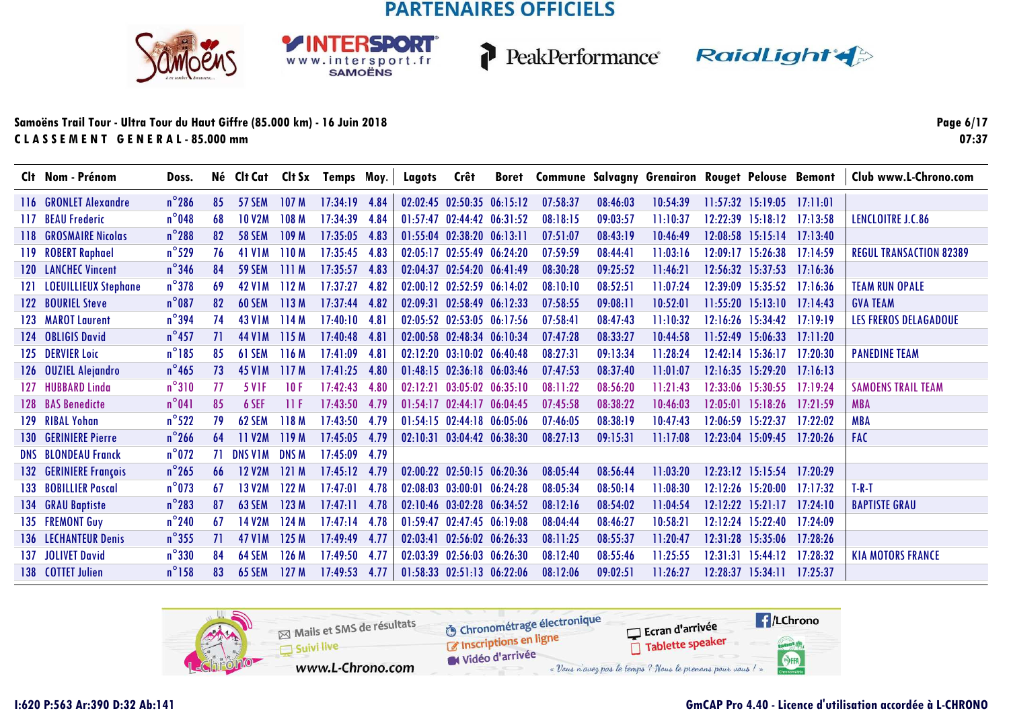**RSDORT** 

WWW.intersport.fr



PeakPerformance RaidLight

#### **Samoëns Trail Tour - Ultra Tour du Haut Giffre (85.000 km) - 16 Juin 2018C L A S S E M E N T G E N E R A L - 85.000 mm**

**Page 6/1707:37**

|      | Clt Nom - Prénom            | Doss.           |     |                     |                  | Né Clt Cat Clt Sx Temps Moy. |      | Lagots   | Crêt                             |          | Boret Commune Salvagny Grenairon Rouget Pelouse Bemont |          |          |          |                       |          | Club www.L-Chrono.com          |
|------|-----------------------------|-----------------|-----|---------------------|------------------|------------------------------|------|----------|----------------------------------|----------|--------------------------------------------------------|----------|----------|----------|-----------------------|----------|--------------------------------|
|      | 116 GRONLET Alexandre       | $n^{\circ}$ 286 | 85  | 57 SEM              | 107 <sub>M</sub> | 17:34:19                     | 4.84 |          | 02:02:45 02:50:35 06:15:12       |          | 07:58:37                                               | 08:46:03 | 10:54:39 |          | $11:57:32$ 15:19:05   | 17:11:01 |                                |
| 117. | <b>BEAU Frederic</b>        | $n^{\circ}$ 048 | 68  | <b>10 V2M</b>       | 108 M            | 17:34:39                     | 4.84 | 01:57:47 | 02:44:42 06:31:52                |          | 08:18:15                                               | 09:03:57 | 11:10:37 |          | $12:22:39$ $15:18:12$ | 17:13:58 | LENCLOITRE J.C.86              |
| 118. | <b>GROSMAIRE Nicolas</b>    | $n^{\circ}$ 288 | 82  | <b>58 SEM</b>       | 109 M            | 17:35:05                     | 4.83 |          | 01:55:04 02:38:20 06:13:11       |          | 07:51:07                                               | 08:43:19 | 10:46:49 |          | $12:08:58$ 15:15:14   | 17:13:40 |                                |
|      | 119 ROBERT Raphael          | $n^{\circ}$ 529 | 76  | 41 V1M              | 110M             | 17:35:45                     | 4.83 |          | $02:05:17$ $02:55:49$ $06:24:20$ |          | 07:59:59                                               | 08:44:41 | 11:03:16 |          | $12:09:17$ $15:26:38$ | 17:14:59 | <b>REGUL TRANSACTION 82389</b> |
|      | <b>120 LANCHEC Vincent</b>  | $n^{\circ}$ 346 | 84  | <b>59 SEM</b>       | 111M             | 17:35:57                     | 4.83 |          | 02:04:37 02:54:20 06:41:49       |          | 08:30:28                                               | 09:25:52 | 11:46:21 |          | $12:56:32$ $15:37:53$ | 17:16:36 |                                |
| 121  | <b>LOEUILLIEUX Stephane</b> | $n^{\circ}378$  | 69  | <b>42 V1M</b>       | 112M             | 17:37:27                     | 4.82 |          | 02:00:12 02:52:59 06:14:02       |          | 08:10:10                                               | 08:52:51 | 11:07:24 |          | 12:39:09 15:35:52     | 17:16:36 | <b>TEAM RUN OPALE</b>          |
|      | 122 BOURIEL Steve           | $n^{\circ}087$  | 82  | <b>60 SEM</b>       | 113M             | 17:37:44                     | 4.82 |          | 02:09:31 02:58:49 06:12:33       |          | 07:58:55                                               | 09:08:11 | 10:52:01 |          | $11:55:20$ 15:13:10   | 17:14:43 | <b>GVA TEAM</b>                |
|      | 123 MAROT Laurent           | $n^{\circ}$ 394 | 74  | 43 V <sub>1</sub> M | 114M             | 17:40:10 4.81                |      |          | 02:05:52 02:53:05 06:17:56       |          | 07:58:41                                               | 08:47:43 | 11:10:32 |          | $12:16:26$ 15:34:42   | 17:19:19 | <b>LES FREROS DELAGADOUE</b>   |
| 124  | <b>OBLIGIS David</b>        | $n^{\circ}$ 457 | 71  | 44 V <sub>1</sub> M | 115 M            | 17:40:48 4.81                |      |          | 02:00:58 02:48:34 06:10:34       |          | 07:47:28                                               | 08:33:27 | 10:44:58 |          | $11:52:49$ 15:06:33   | 17:11:20 |                                |
| 125  | <b>DERVIER Loic</b>         | $n^{\circ}185$  | 85  | 61 SEM              | 116M             | 17:41:09                     | 4.81 |          | 02:12:20 03:10:02 06:40:48       |          | 08:27:31                                               | 09:13:34 | 11:28:24 |          | $12:42:14$ $15:36:17$ | 17:20:30 | <b>PANEDINE TEAM</b>           |
| 126  | <b>OUZIEL Alejandro</b>     | $n^{\circ}$ 465 | 73  | <b>45 V1M</b>       | 117M             | 17:41:25                     | 4.80 |          | 01:48:15 02:36:18 06:03:46       |          | 07:47:53                                               | 08:37:40 | 11:01:07 |          | $12:16:35$ $15:29:20$ | 17:16:13 |                                |
| 127  | <b>HUBBARD Linda</b>        | $n^{\circ}310$  | 77  | <b>5 VIF</b>        | 10F              | 17:42:43                     | 4.80 |          | 02:12:21 03:05:02 06:35:10       |          | 08:11:22                                               | 08:56:20 | 11:21:43 |          | 12:33:06 15:30:55     | 17:19:24 | <b>SAMOENS TRAIL TEAM</b>      |
| 128  | <b>BAS Benedicte</b>        | $n^{\circ}041$  | 85  | 6 SEF               | 11F              | 17:43:50 4.79                |      |          | 01:54:17 02:44:17 06:04:45       |          | 07:45:58                                               | 08:38:22 | 10:46:03 |          | $12:05:01$ 15:18:26   | 17:21:59 | <b>MBA</b>                     |
| 129  | <b>RIBAL Yohan</b>          | $n^{\circ}522$  | 79  | 62 SEM              | 118M             | 17:43:50 4.79                |      |          | 01:54:15 02:44:18 06:05:06       |          | 07:46:05                                               | 08:38:19 | 10:47:43 |          | $12:06:59$ 15:22:37   | 17:22:02 | <b>MBA</b>                     |
| 130  | <b>GERINIERE Pierre</b>     | $n^{\circ}$ 266 | 64  | <b>11 V2M</b>       | 119M             | 17:45:05                     | 4.79 |          | $02:10:31$ $03:04:42$ $06:38:30$ |          | 08:27:13                                               | 09:15:31 | 11:17:08 |          | 12:23:04 15:09:45     | 17:20:26 | <b>FAC</b>                     |
|      | <b>DNS BLONDEAU Franck</b>  | $n^{\circ}$ 072 | 71. | DNS VIM             | <b>DNS M</b>     | 17:45:09                     | 4.79 |          |                                  |          |                                                        |          |          |          |                       |          |                                |
| 132  | <b>GERINIERE François</b>   | $n^{\circ}$ 265 | 66  | <b>12 V2M</b>       | 121M             | 17:45:12                     | 4.79 |          | 02:00:22 02:50:15 06:20:36       |          | 08:05:44                                               | 08:56:44 | 11:03:20 |          | $12:23:12$ $15:15:54$ | 17:20:29 |                                |
| 133  | <b>BOBILLIER Pascal</b>     | $n^{\circ}$ 073 | 67  | <b>13 V2M</b>       | 122 M            | 17:47:01                     | 4.78 |          | $02:08:03$ $03:00:01$            | 06:24:28 | 08:05:34                                               | 08:50:14 | 11:08:30 |          | $12:12:26$ 15:20:00   | 17:17:32 | $T-R-T$                        |
| 134  | <b>GRAU Baptiste</b>        | $n^{\circ}$ 283 | 87  | <b>63 SEM</b>       | 123 M            | 17:47:11                     | 4.78 | 02:10:46 | 03:02:28 06:34:52                |          | 08:12:16                                               | 08:54:02 | 11:04:54 | 12:12:22 | 15:21:17              | 17:24:10 | <b>BAPTISTE GRAU</b>           |
|      | 135 FREMONT Guy             | $n^{\circ}$ 240 | 67  | <b>14 V2M</b>       | 124 M            | 17:47:14                     | 4.78 |          | 01:59:47 02:47:45 06:19:08       |          | 08:04:44                                               | 08:46:27 | 10:58:21 |          | 12:12:24 15:22:40     | 17:24:09 |                                |
|      | <b>136 LECHANTEUR Denis</b> | $n^{\circ}355$  | 71  | <b>47 V1M</b>       | 125M             | 17:49:49                     | 4.77 | 02:03:41 | 02:56:02 06:26:33                |          | 08:11:25                                               | 08:55:37 | 11:20:47 | 12:31:28 | 15:35:06              | 17:28:26 |                                |
|      | 137 JOLIVET David           | $n^{\circ}330$  | 84  | 64 SEM              | 126M             | 17:49:50                     | 4.77 |          | 02:03:39 02:56:03 06:26:30       |          | 08:12:40                                               | 08:55:46 | 11:25:55 |          | $12:31:31$ $15:44:12$ | 17:28:32 | <b>KIA MOTORS FRANCE</b>       |
|      | 138 COTTET Julien           | $n^{\circ}$ 158 | 83  | <b>65 SEM</b>       | 127M             | 17:49:53                     | 4.77 |          | 01:58:33 02:51:13 06:22:06       |          | 08:12:06                                               | 09:02:51 | 11:26:27 | 12:28:37 | $15:34:11$ $17:25:37$ |          |                                |

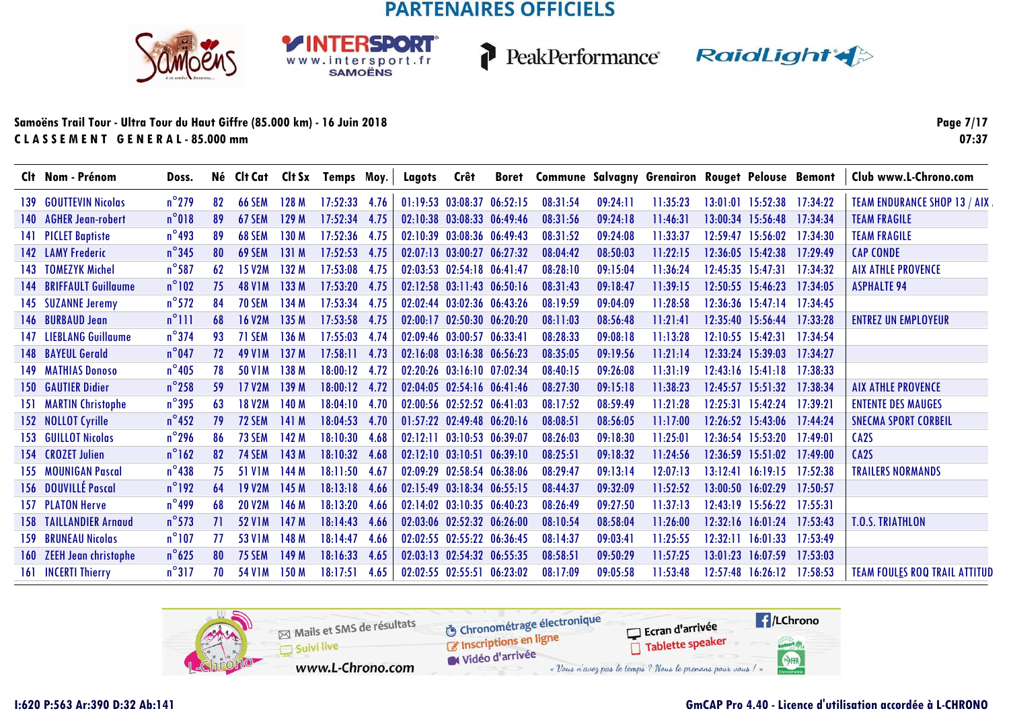SPORT

WWW.intersport.fr



P

PeakPerformance RaidLight

#### **Samoëns Trail Tour - Ultra Tour du Haut Giffre (85.000 km) - 16 Juin 2018C L A S S E M E N T G E N E R A L - 85.000 mm**

**Page 7/1707:37**

| Clt Nom - Prénom              | Doss.           |     |                     |       | Né Clt Cat Clt Sx Temps Moy. |      | Lagots Crêt |                            |          |          | Boret Commune Salvagny Grenairon Rouget Pelouse Bemont |          |                                  |          | Club www.L-Chrono.com                |
|-------------------------------|-----------------|-----|---------------------|-------|------------------------------|------|-------------|----------------------------|----------|----------|--------------------------------------------------------|----------|----------------------------------|----------|--------------------------------------|
| 139 GOUTTEVIN Nicolas         | $n^{\circ}$ 279 | 82  | <b>66 SEM</b>       | 128 M | $17:52:33$ 4.76              |      |             | 01:19:53 03:08:37 06:52:15 | 08:31:54 | 09:24:11 | 11:35:23                                               |          | 13:01:01 15:52:38 17:34:22       |          | <b>TEAM ENDURANCE SHOP 13 / AIX</b>  |
| 140 AGHER Jean-robert         | $n^{\circ}018$  | 89  | <b>67 SEM</b>       | 129M  | $17:52:34$ 4.75              |      |             | 02:10:38 03:08:33 06:49:46 | 08:31:56 | 09:24:18 | 11:46:31                                               |          | 13:00:34 15:56:48 17:34:34       |          | <b>TEAM FRAGILE</b>                  |
| 141 PICLET Baptiste           | $n^{\circ}$ 493 | 89  | 68 SEM              | 130 M | 17:52:36 4.75                |      |             | 02:10:39 03:08:36 06:49:43 | 08:31:52 | 09:24:08 | 11:33:37                                               |          | $12:59:47$ $15:56:02$            | 17:34:30 | <b>TEAM FRAGILE</b>                  |
| 142 LAMY Frederic             | $n^{\circ}345$  | 80  | 69 SEM              | 131M  | $17:52:53$ 4.75              |      |             | 02:07:13 03:00:27 06:27:32 | 08:04:42 | 08:50:03 | 11:22:15                                               |          | $12:36:05$ $15:42:38$            | 17:29:49 | <b>CAP CONDE</b>                     |
| 143 TOMEZYK Michel            | $n^{\circ}$ 587 | 62  | <b>15 V2M</b>       | 132M  | 17:53:08 4.75                |      |             | 02:03:53 02:54:18 06:41:47 | 08:28:10 | 09:15:04 | 11:36:24                                               |          | $12:45:35$ $15:47:31$            | 17:34:32 | <b>AIX ATHLE PROVENCE</b>            |
| 144 BRIFFAULT Guillaume       | $n^{\circ}102$  | 75  | <b>48 VIM</b>       | 133M  | 17:53:20 4.75                |      |             | 02:12:58 03:11:43 06:50:16 | 08:31:43 | 09:18:47 | 11:39:15                                               |          | $12:50:55$ $15:46:23$            | 17:34:05 | <b>ASPHALTE 94</b>                   |
| 145 SUZANNE Jeremy            | $n^{\circ}572$  | 84  | <b>70 SEM</b>       | 134 M | 17:53:34 4.75                |      |             | 02:02:44 03:02:36 06:43:26 | 08:19:59 | 09:04:09 | 11:28:58                                               |          | $12:36:36$ $15:47:14$ $17:34:45$ |          |                                      |
| 146 BURBAUD Jean              | $n^{\circ}$ 111 | 68  | <b>16 V2M</b>       | 135M  | 17:53:58 4.75                |      |             | 02:00:17 02:50:30 06:20:20 | 08:11:03 | 08:56:48 | 11:21:41                                               |          | 12:35:40 15:56:44 17:33:28       |          | <b>ENTREZ UN EMPLOYEUR</b>           |
| 147 LIEBLANG Guillaume        | $n^{\circ}$ 374 | 93  | 71 SEM              | 136M  | 17:55:03 4.74                |      |             | 02:09:46 03:00:57 06:33:41 | 08:28:33 | 09:08:18 | 11:13:28                                               |          | $12:10:55$ 15:42:31              | 17:34:54 |                                      |
| <b>148 BAYEUL Gerald</b>      | $n^{\circ}$ 047 | 72  | 49 V <sub>1</sub> M | 137M  | $17:58:11$ 4.73              |      |             | 02:16:08 03:16:38 06:56:23 | 08:35:05 | 09:19:56 | 11:21:14                                               |          | 12:33:24 15:39:03 17:34:27       |          |                                      |
| 149 MATHIAS Donoso            | $n^{\circ}405$  | 78  | <b>50 V1M</b>       | 138 M | 18:00:12 4.72                |      |             | 02:20:26 03:16:10 07:02:34 | 08:40:15 | 09:26:08 | 11:31:19                                               |          | 12:43:16 15:41:18 17:38:33       |          |                                      |
| <b>150 GAUTIER Didier</b>     | $n^{\circ}$ 258 | -59 | <b>17 V2M</b>       | 139M  | 18:00:12 4.72                |      |             | 02:04:05 02:54:16 06:41:46 | 08:27:30 | 09:15:18 | 11:38:23                                               |          | 12:45:57 15:51:32 17:38:34       |          | <b>AIX ATHLE PROVENCE</b>            |
| 151 MARTIN Christophe         | $n^{\circ}$ 395 | 63  | <b>18 V2M</b>       | 140 M | 18:04:10 4.70                |      |             | 02:00:56 02:52:52 06:41:03 | 08:17:52 | 08:59:49 | 11:21:28                                               |          | 12:25:31 15:42:24                | 17:39:21 | <b>ENTENTE DES MAUGES</b>            |
| 152 NOLLOT Cyrille            | $n^{\circ}$ 452 | 79  | <b>72 SEM</b>       | 141 M | 18:04:53 4.70                |      |             | 01:57:22 02:49:48 06:20:16 | 08:08:51 | 08:56:05 | 11:17:00                                               |          | 12:26:52 15:43:06 17:44:24       |          | <b>SNECMA SPORT CORBEIL</b>          |
| 153 GUILLOT Nicolas           | $n^{\circ}$ 296 | 86  | <b>73 SEM</b>       | 142 M | 18:10:30 4.68                |      |             | 02:12:11 03:10:53 06:39:07 | 08:26:03 | 09:18:30 | 11:25:01                                               |          | $12:36:54$ 15:53:20              | 17:49:01 | CA <sub>2</sub> S                    |
| 154 CROZET Julien             | $n^{\circ}162$  | 82  | <b>74 SEM</b>       | 143 M | 18:10:32 4.68                |      |             | 02:12:10 03:10:51 06:39:10 | 08:25:51 | 09:18:32 | 11:24:56                                               |          | $12:36:59$ $15:51:02$            | 17:49:00 | CA <sub>2</sub> S                    |
| 155 MOUNIGAN Pascal           | $n^{\circ}$ 438 | 75  | <b>51 V1M</b>       | 144 M | 18:11:50 4.67                |      |             | 02:09:29 02:58:54 06:38:06 | 08:29:47 | 09:13:14 | 12:07:13                                               |          | $13:12:41$ $16:19:15$            | 17:52:38 | <b>TRAILERS NORMANDS</b>             |
| 156 DOUVILLÉ Pascal           | $n^{\circ}$ 192 | 64  | <b>19 V2M</b>       | 145M  | $18:13:18$ 4.66              |      |             | 02:15:49 03:18:34 06:55:15 | 08:44:37 | 09:32:09 | 11:52:52                                               |          | 13:00:50 16:02:29                | 17:50:57 |                                      |
| 157 PLATON Herve              | $n^{\circ}$ 499 | 68  | <b>20 V2M</b>       | 146 M | 18:13:20 4.66                |      |             | 02:14:02 03:10:35 06:40:23 | 08:26:49 | 09:27:50 | 11:37:13                                               |          | 12:43:19 15:56:22                | 17:55:31 |                                      |
| <b>158 TAILLANDIER Arnaud</b> | $n^{\circ}$ 573 | 71  | <b>52 V1M</b>       | 147M  | 18:14:43 4.66                |      |             | 02:03:06 02:52:32 06:26:00 | 08:10:54 | 08:58:04 | 11:26:00                                               | 12:32:16 | 16:01:24                         | 17:53:43 | <b>T.O.S. TRIATHLON</b>              |
| <b>159 BRUNEAU Nicolas</b>    | $n^{\circ}107$  | 77  | 53 V1M              | 148 M | 18:14:47                     | 4.66 |             | 02:02:55 02:55:22 06:36:45 | 08:14:37 | 09:03:41 | 11:25:55                                               | 12:32:11 | 16:01:33                         | 17:53:49 |                                      |
| 160 ZEEH Jean christophe      | $n^{\circ}625$  | 80  | <b>75 SEM</b>       | 149 M | 18:16:33 4.65                |      |             | 02:03:13 02:54:32 06:55:35 | 08:58:51 | 09:50:29 | 11:57:25                                               | 13:01:23 | 16:07:59                         | 17:53:03 |                                      |
| 161 INCERTI Thierry           | $n^{\circ}317$  | 70  | <b>54 V1M</b>       | 150 M | 18:17:51                     | 4.65 |             | 02:02:55 02:55:51 06:23:02 | 08:17:09 | 09:05:58 | 11:53:48                                               |          | 12:57:48 16:26:12 17:58:53       |          | <b>TEAM FOULES ROQ TRAIL ATTITUD</b> |

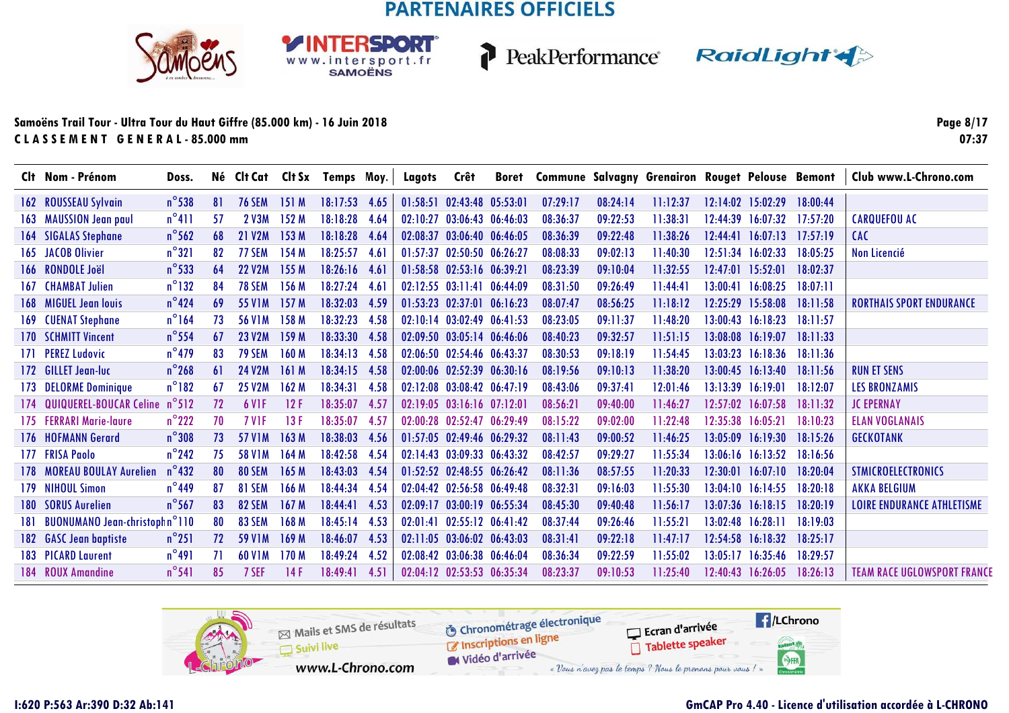**RSDORT** 

WWW.intersport.fr



PeakPerformance RaidLight

#### **Samoëns Trail Tour - Ultra Tour du Haut Giffre (85.000 km) - 16 Juin 2018C L A S S E M E N T G E N E R A L - 85.000 mm**

**Page 8/1707:37**

|      | Clt Nom - Prénom                                | Doss.           |    | Né Clt Cat          |                  | CIt Sx Temps Moy. |      | Lagots   | Crêt                             | Boret    |          |          | <b>Commune Salvagny Grenairon Rouget Pelouse Bemont</b> |                   |                       |          | Club www.L-Chrono.com              |
|------|-------------------------------------------------|-----------------|----|---------------------|------------------|-------------------|------|----------|----------------------------------|----------|----------|----------|---------------------------------------------------------|-------------------|-----------------------|----------|------------------------------------|
|      | 162 ROUSSEAU Sylvain                            | $n^{\circ}$ 538 | 81 | <b>76 SEM</b>       | 151M             | 18:17:53          | 4.65 |          | 01:58:51 02:43:48 05:53:01       |          | 07:29:17 | 08:24:14 | 11:12:37                                                |                   | $12:14:02$ 15:02:29   | 18:00:44 |                                    |
|      | 163 MAUSSION Jean paul                          | $n^{\circ}411$  | 57 | 2 V3M               | 152 M            | 18:18:28          | 4.64 |          | 02:10:27 03:06:43 06:46:03       |          | 08:36:37 | 09:22:53 | 11:38:31                                                | 12:44:39          | 16:07:32              | 17:57:20 | <b>CARQUEFOU AC</b>                |
| 164  | <b>SIGALAS Stephane</b>                         | $n^{\circ}$ 562 | 68 | <b>21 V2M</b>       | 153 M            | 18:18:28          | 4.64 |          | 02:08:37 03:06:40 06:46:05       |          | 08:36:39 | 09:22:48 | 11:38:26                                                |                   | $12:44:41$ $16:07:13$ | 17:57:19 | <b>CAC</b>                         |
|      | 165 JACOB Olivier                               | $n^{\circ}321$  | 82 | <b>77 SEM</b>       | 154 M            | 18:25:57          | 4.61 |          | 01:57:37 02:50:50 06:26:27       |          | 08:08:33 | 09:02:13 | 11:40:30                                                | 12:51:34          | 16:02:33              | 18:05:25 | <b>Non Licencié</b>                |
|      | 166 RONDOLE Joël                                | $n^{\circ}$ 533 | 64 | <b>22 V2M</b>       | 155 M            | $18:26:16$ 4.61   |      |          | 01:58:58 02:53:16 06:39:21       |          | 08:23:39 | 09:10:04 | 11:32:55                                                | 12:47:01 15:52:01 |                       | 18:02:37 |                                    |
| 167. | <b>CHAMBAT Julien</b>                           | $n^{\circ}$ 132 | 84 | <b>78 SEM</b>       | 156 M            | 18:27:24          | 4.61 |          | $02:12:55$ $03:11:41$            | 06:44:09 | 08:31:50 | 09:26:49 | 11:44:41                                                |                   | 13:00:41 16:08:25     | 18:07:11 |                                    |
| 168  | <b>MIGUEL Jean louis</b>                        | $n^{\circ}$ 424 | 69 | 55 V <sub>1</sub> M | 157 M            | 18:32:03          | 4.59 |          | $01:53:23$ $02:37:01$            | 06:16:23 | 08:07:47 | 08:56:25 | 11:18:12                                                |                   | 12:25:29 15:58:08     | 18:11:58 | <b>RORTHAIS SPORT ENDURANCE</b>    |
| 169. | <b>CUENAT Stephane</b>                          | $n^{\circ}$ 164 | 73 | <b>56 VIM</b>       | 158 M            | 18:32:23          | 4.58 |          | $02:10:14$ $03:02:49$ $06:41:53$ |          | 08:23:05 | 09:11:37 | 11:48:20                                                |                   | $13:00:43$ $16:18:23$ | 18:11:57 |                                    |
| 170  | <b>SCHMITT Vincent</b>                          | $n^{\circ}$ 554 | 67 | <b>23 V2M</b>       | 159 M            | 18:33:30 4.58     |      |          | 02:09:50 03:05:14 06:46:06       |          | 08:40:23 | 09:32:57 | 11:51:15                                                |                   | 13:08:08 16:19:07     | 18:11:33 |                                    |
|      | 171 PEREZ Ludovic                               | $n^{\circ}$ 479 | 83 | <b>79 SEM</b>       | 160 M            | 18:34:13          | 4.58 |          | 02:06:50 02:54:46 06:43:37       |          | 08:30:53 | 09:18:19 | 11:54:45                                                |                   | $13:03:23$ $16:18:36$ | 18:11:36 |                                    |
|      | 172 GILLET Jean-luc                             | $n^{\circ}$ 268 | 61 | <b>24 V2M</b>       | 161 M            | 18:34:15          | 4.58 |          | 02:00:06 02:52:39 06:30:16       |          | 08:19:56 | 09:10:13 | 11:38:20                                                |                   | $13:00:45$ $16:13:40$ | 18:11:56 | <b>RUN ET SENS</b>                 |
| 173  | <b>DELORME Dominique</b>                        | $n^{\circ}182$  | 67 | <b>25 V2M</b>       | 162M             | 18:34:31          | 4.58 |          | $02:12:08$ $03:08:42$ $06:47:19$ |          | 08:43:06 | 09:37:41 | 12:01:46                                                |                   | $13:13:39$ $16:19:01$ | 18:12:07 | <b>LES BRONZAMIS</b>               |
| 174  | <b>QUIQUEREL-BOUCAR Celine</b>                  | $n^{\circ}512$  | 72 | 6 V <sub>IF</sub>   | 12F              | 18:35:07          | 4.57 |          | 02:19:05 03:16:16 07:12:01       |          | 08:56:21 | 09:40:00 | 11:46:27                                                |                   | $12:57:02$ 16:07:58   | 18:11:32 | <b>JC EPERNAY</b>                  |
|      | 175 FERRARI Marie-laure                         | $n^{\circ}$ 222 | 70 | <b>7 VIF</b>        | 13F              | 18:35:07          | 4.57 |          | 02:00:28 02:52:47 06:29:49       |          | 08:15:22 | 09:02:00 | 11:22:48                                                | 12:35:38          | 16:05:21              | 18:10:23 | <b>ELAN VOGLANAIS</b>              |
| 176  | <b>HOFMANN Gerard</b>                           | $n^{\circ}308$  | 73 | 57 V1M              | 163 M            | 18:38:03          | 4.56 |          | 01:57:05 02:49:46 06:29:32       |          | 08:11:43 | 09:00:52 | 11:46:25                                                | 13:05:09          | 16:19:30              | 18:15:26 | <b>GECKOTANK</b>                   |
|      | 177 FRISA Paolo                                 | $n^{\circ}$ 242 | 75 | 58 V1M              | 164M             | 18:42:58          | 4.54 |          | 02:14:43 03:09:33 06:43:32       |          | 08:42:57 | 09:29:27 | 11:55:34                                                |                   | $13:06:16$ $16:13:52$ | 18:16:56 |                                    |
| 178. | <b>MOREAU BOULAY Aurelien</b>                   | $n^{\circ}$ 432 | 80 | 80 SEM              | 165 M            | 18:43:03          | 4.54 |          | 01:52:52 02:48:55 06:26:42       |          | 08:11:36 | 08:57:55 | 11:20:33                                                | 12:30:01          | 16:07:10              | 18:20:04 | <b>STMICROELECTRONICS</b>          |
| 179. | <b>NIHOUL Simon</b>                             | $n^{\circ}$ 449 | 87 | 81 SEM              | 166 M            | 18:44:34          | 4.54 |          | 02:04:42 02:56:58 06:49:48       |          | 08:32:31 | 09:16:03 | 11:55:30                                                |                   | $13:04:10$ $16:14:55$ | 18:20:18 | <b>AKKA BELGIUM</b>                |
| 180. | <b>SORUS Aurelien</b>                           | $n^{\circ}$ 567 | 83 | 82 SEM              | 167 M            | 18:44:41          | 4.53 | 02.09:17 | 03:00:19 06:55:34                |          | 08:45:30 | 09:40:48 | 11:56:17                                                | 13:07:36          | 16:18:15              | 18:20:19 | <b>LOIRE ENDURANCE ATHLETISME</b>  |
| 181. | <b>BUONUMANO Jean-christophn<sup>o</sup>110</b> |                 | 80 | 83 SEM              | 168 M            | 18:45:14          | 4.53 |          | 02:01:41 02:55:12 06:41:42       |          | 08:37:44 | 09:26:46 | 11:55:21                                                | 13:02:48          | 16:28:11              | 18:19:03 |                                    |
|      | 182 GASC Jean baptiste                          | $n^{\circ}251$  | 72 | 59 V <sub>1</sub> M | 169 M            | 18:46:07          | 4.53 |          | $02:11:05$ $03:06:02$ $06:43:03$ |          | 08:31:41 | 09:22:18 | 11:47:17                                                | 12:54:58          | 16:18:32              | 18:25:17 |                                    |
|      | <b>183 PICARD Laurent</b>                       | $n^{\circ}491$  | 71 | <b>60 V1M</b>       | 170 <sub>M</sub> | 18:49:24          | 4.52 |          | 02:08:42 03:06:38 06:46:04       |          | 08:36:34 | 09:22:59 | 11:55:02                                                | 13:05:17          | 16:35:46              | 18:29:57 |                                    |
|      | 184 ROUX Amandine                               | $n^{\circ}541$  | 85 | 7 SEF               | 14F              | 18:49:41          | 4.51 |          | 02:04:12 02:53:53 06:35:34       |          | 08:23:37 | 09:10:53 | 11:25:40                                                |                   | 12:40:43 16:26:05     | 18:26:13 | <b>TEAM RACE UGLOWSPORT FRANCE</b> |

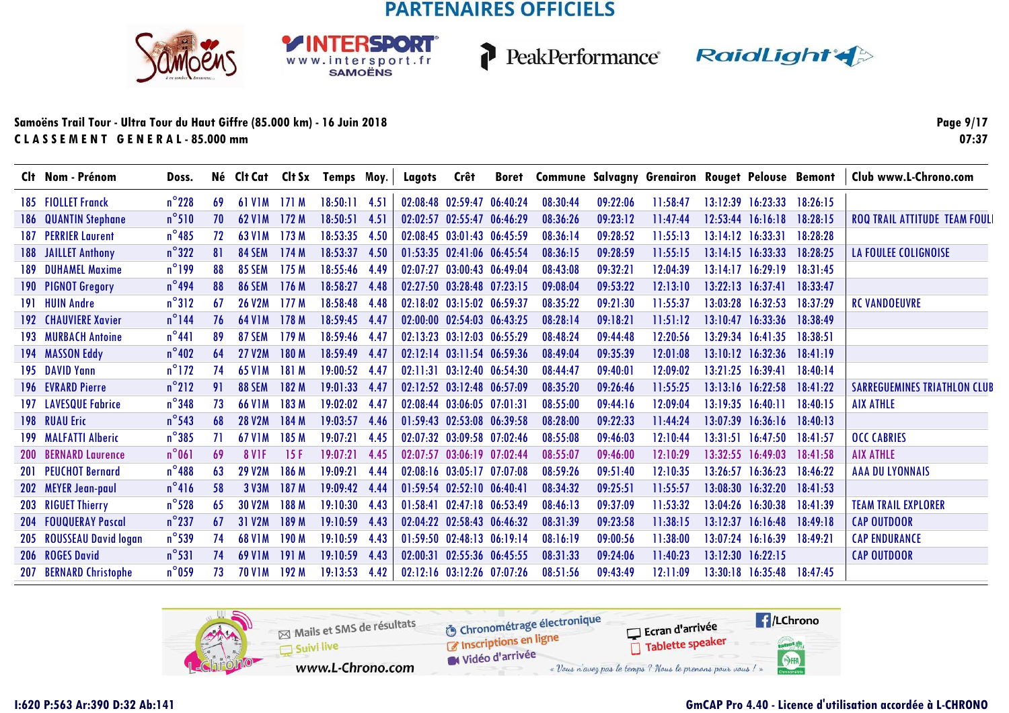**RSDORT** 

WWW.intersport.fr



PeakPerformance RaidLight

#### **Samoëns Trail Tour - Ultra Tour du Haut Giffre (85.000 km) - 16 Juin 2018C L A S S E M E N T G E N E R A L - 85.000 mm**

**Page 9/1707:37**

| Clt Nom - Prénom            | Doss.           |     |                     |                  | Né Clt Cat Clt Sx Temps Moy. |        | Lagots            | Crêt                       |          |          |          | Boret Commune Salvagny Grenairon Rouget Pelouse Bemont |          |                       |          | Club www.L-Chrono.com                |
|-----------------------------|-----------------|-----|---------------------|------------------|------------------------------|--------|-------------------|----------------------------|----------|----------|----------|--------------------------------------------------------|----------|-----------------------|----------|--------------------------------------|
| 185 FIOLLET Franck          | $n^{\circ}$ 228 | -69 | <b>61 V1M</b>       | 171 M            | 18:50:11                     | - 4.51 | 02:08:48 02:59:47 |                            | 06:40:24 | 08:30:44 | 09:22:06 | 11:58:47                                               | 13:12:39 | 16:23:33              | 18:26:15 |                                      |
| <b>186 QUANTIN Stephane</b> | $n^{\circ}510$  | 70  | <b>62 V1M</b>       | 172M             | 18:50:51                     | 4.51   | 02.02:57          | 02:55:47                   | 06:46:29 | 08:36:26 | 09:23:12 | 11:47:44                                               | 12:53:44 | 16:16:18              | 18:28:15 | <b>ROQ TRAIL ATTITUDE TEAM FOUL!</b> |
| <b>187 PERRIER Laurent</b>  | $n^{\circ}485$  | 72  | 63 V <sub>1</sub> M | 173M             | 18:53:35 4.50                |        |                   | 02:08:45 03:01:43          | 06:45:59 | 08:36:14 | 09:28:52 | 11:55:13                                               |          | $13:14:12$ $16:33:31$ | 18:28:28 |                                      |
| 188 JAILLET Anthony         | $n^{\circ}322$  | 81  | 84 SEM              | 174M             | 18:53:37 4.50                |        |                   | 01:53:35 02:41:06 06:45:54 |          | 08:36:15 | 09:28:59 | 11:55:15                                               |          | $13:14:15$ $16:33:33$ | 18:28:25 | <b>LA FOULEE COLIGNOISE</b>          |
| 189 DUHAMEL Maxime          | $n^{\circ}$ 199 | 88  | <b>85 SEM</b>       | 175 M            | 18:55:46 4.49                |        |                   | 02:07:27 03:00:43 06:49:04 |          | 08:43:08 | 09:32:21 | 12:04:39                                               |          | $13:14:17$ $16:29:19$ | 18:31:45 |                                      |
| 190 PIGNOT Gregory          | $n^{\circ}$ 494 | 88  | <b>86 SEM</b>       | 176M             | 18:58:27 4.48                |        |                   | 02:27:50 03:28:48 07:23:15 |          | 09:08:04 | 09:53:22 | 12:13:10                                               |          | $13:22:13$ $16:37:41$ | 18:33:47 |                                      |
| 191 HUIN Andre              | $n^{\circ}312$  | -67 | <b>26 V2M</b>       | 177M             | 18:58:48 4.48                |        |                   | 02:18:02 03:15:02 06:59:37 |          | 08:35:22 | 09:21:30 | 11:55:37                                               |          | 13:03:28 16:32:53     | 18:37:29 | <b>RC VANDOEUVRE</b>                 |
| <b>192 CHAUVIERE Xavier</b> | $n^{\circ}$ 144 | 76  | <b>64 VIM</b>       | 178 M            | $18:59:45$ 4.47              |        |                   | 02:00:00 02:54:03 06:43:25 |          | 08:28:14 | 09:18:21 | 11:51:12                                               |          | $13:10:47$ $16:33:36$ | 18:38:49 |                                      |
| <b>193 MURBACH Antoine</b>  | $n^{\circ}441$  | 89  | <b>87 SEM</b>       | 179M             | 18:59:46 4.47                |        |                   | 02:13:23 03:12:03 06:55:29 |          | 08:48:24 | 09:44:48 | 12:20:56                                               |          | 13:29:34 16:41:35     | 18:38:51 |                                      |
| 194 MASSON Eddy             | $n^{\circ}402$  | -64 | <b>27 V2M</b>       | 180 M            | 18:59:49 4.47                |        |                   | 02:12:14 03:11:54 06:59:36 |          | 08:49:04 | 09:35:39 | 12:01:08                                               |          | $13:10:12$ $16:32:36$ | 18:41:19 |                                      |
| 195 DAVID Yann              | $n^{\circ}$ 172 | 74  | <b>65 V1M</b>       | 181 M            | 19:00:52 4.47                |        |                   | 02:11:31 03:12:40 06:54:30 |          | 08:44:47 | 09:40:01 | 12:09:02                                               |          | 13:21:25 16:39:41     | 18:40:14 |                                      |
| <b>196 EVRARD Pierre</b>    | $n^{\circ}212$  | 91  | 88 SEM              | 182 M            | $19:01:33$ 4.47              |        |                   | 02:12:52 03:12:48 06:57:09 |          | 08:35:20 | 09:26:46 | 11:55:25                                               |          | 13:13:16 16:22:58     | 18:41:22 | <b>SARREGUEMINES TRIATHLON CLUB</b>  |
| <b>197 LAVESQUE Fabrice</b> | $n^{\circ}$ 348 | 73  | <b>66 V1M</b>       | 183 M            | 19:02:02                     | 4.47   |                   | 02:08:44 03:06:05 07:01:31 |          | 08:55:00 | 09:44:16 | 12:09:04                                               |          | $13:19:35$ $16:40:11$ | 18:40:15 | <b>AIX ATHLE</b>                     |
| 198 RUAU Eric               | $n^{\circ}$ 543 | 68  | 28 V <sub>2</sub> M | <b>184 M</b>     | $19:03:57$ 4.46              |        |                   | 01:59:43 02:53:08 06:39:58 |          | 08:28:00 | 09:22:33 | 11:44:24                                               |          | $13:07:39$ $16:36:16$ | 18:40:13 |                                      |
| 199 MALFATTI Alberic        | $n^{\circ}385$  | 71  | <b>67 V1M</b>       | 185 M            | 19:07:21                     | 4.45   |                   | 02:07:32 03:09:58 07:02:46 |          | 08:55:08 | 09:46:03 | 12:10:44                                               |          | $13:31:51$ $16:47:50$ | 18:41:57 | <b>OCC CABRIES</b>                   |
| <b>200 BERNARD Laurence</b> | $n^{\circ}061$  | 69  | <b>8 V1F</b>        | 15F              | 19:07:21                     | 4.45   |                   | 02:07:57 03:06:19 07:02:44 |          | 08:55:07 | 09:46:00 | 12:10:29                                               |          | 13:32:55 16:49:03     | 18:41:58 | <b>AIX ATHLE</b>                     |
| <b>201 PEUCHOT Bernard</b>  | $n^{\circ}$ 488 | 63  | <b>29 V2M</b>       | 186 M            | 19:09:21                     | 4.44   |                   | 02:08:16 03:05:17 07:07:08 |          | 08:59:26 | 09:51:40 | 12:10:35                                               | 13.26:57 | 16:36:23              | 18:46:22 | <b>AAA DU LYONNAIS</b>               |
| 202 MEYER Jean-paul         | $n^{\circ}416$  | 58  | 3 V3M               | 187 <sub>M</sub> | 19:09:42                     | 4.44   |                   | $01:59:54$ $02:52:10$      | 06:40:4  | 08:34:32 | 09:25:51 | 11:55:57                                               |          | 13:08:30 16:32:20     | 18:41:53 |                                      |
| 203 RIGUET Thierry          | $n^{\circ}$ 528 | -65 | 30 V2M              | 188 M            | 19:10:30                     | 4.43   | 01:58:41          | 02:47:18 06:53:49          |          | 08:46:13 | 09:37:09 | 11:53:32                                               |          | 13:04:26 16:30:38     | 18:41:39 | <b>TEAM TRAIL EXPLORER</b>           |
| 204 FOUQUERAY Pascal        | $n^{\circ}$ 237 | 67  | 31 V2M              | 189 M            | 19:10:59                     | 4.43   |                   | 02:04:22 02:58:43 06:46:32 |          | 08:31:39 | 09:23:58 | 11:38:15                                               | 13:12:37 | 16:16:48              | 18:49:18 | <b>CAP OUTDOOR</b>                   |
| 205 ROUSSEAU David logan    | $n^{\circ}$ 539 | 74  | <b>68 V1M</b>       | 190 M            | 19:10:59                     | 4.43   |                   | 01:59:50 02:48:13 06:19:14 |          | 08:16:19 | 09:00:56 | 11:38:00                                               | 13:07:24 | 16:16:39              | 18:49:21 | <b>CAP ENDURANCE</b>                 |
| 206 ROGES David             | $n^{\circ}531$  | 74  | <b>69 VIM</b>       | 191 M            | 19:10:59 4.43                |        | 02:00:31          | 02:55:36                   | 06:45:55 | 08:31:33 | 09:24:06 | 11:40:23                                               |          | $13:12:30$ $16:22:15$ |          | <b>CAP OUTDOOR</b>                   |
| 207 BERNARD Christophe      | $n^{\circ}$ 059 | 73  | <b>70 V1M</b>       | 192 M            | 19:13:53                     | 4.42   |                   | 02:12:16 03:12:26 07:07:26 |          | 08:51:56 | 09:43:49 | 12:11:09                                               |          | 13:30:18 16:35:48     | 18:47:45 |                                      |

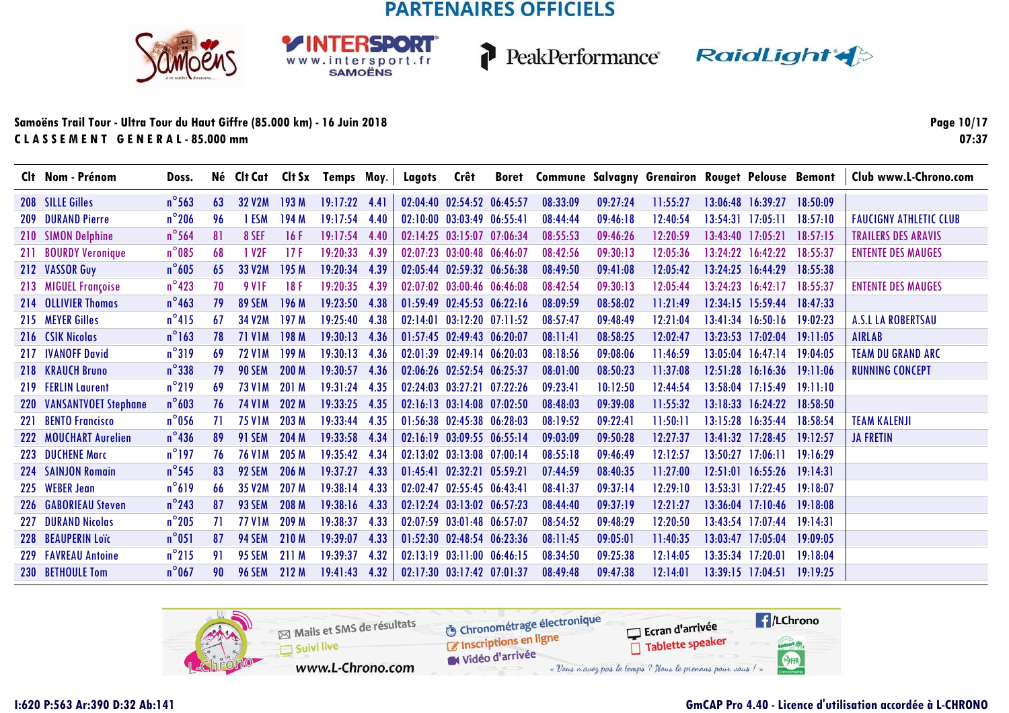SPORT

WWW.intersport.fr<br>SAMOËNS



PeakPerformance RaidLight

#### **Samoëns Trail Tour - Ultra Tour du Haut Giffre (85.000 km) - 16 Juin 2018C L A S S E M E N T G E N E R A L - 85.000 mm**

**Page 10/1707:37**

|            | Clt Nom - Prénom         | Doss.           |     |                     |       | Né Clt Cat Clt Sx Temps Moy. |      | Lagots | Crêt                             |          | Boret Commune Salvagny Grenairon Rouget Pelouse Bemont |          |          |          |                            |          | Club www.L-Chrono.com         |
|------------|--------------------------|-----------------|-----|---------------------|-------|------------------------------|------|--------|----------------------------------|----------|--------------------------------------------------------|----------|----------|----------|----------------------------|----------|-------------------------------|
|            | 208 SILLE Gilles         | $n^{\circ}$ 563 | 63  | <b>32 V2M</b>       | 193M  | $19:17:22$ 4.41              |      |        | 02:04:40 02:54:52 06:45:57       |          | 08:33:09                                               | 09:27:24 | 11:55:27 |          | 13:06:48 16:39:27          | 18:50:09 |                               |
|            | <b>209 DURAND Pierre</b> | $n^{\circ}$ 206 | 96  | 1 ESM               | 194 M | 19:17:54 4.40                |      |        | $02:10:00$ $03:03:49$ $06:55:41$ |          | 08:44:44                                               | 09:46:18 | 12:40:54 |          | $13:54:31$ $17:05:11$      | 18:57:10 | <b>FAUCIGNY ATHLETIC CLUB</b> |
| 210        | <b>SIMON Delphine</b>    | $n^{\circ}$ 564 | 81  | 8 SEF               | 16F   | 19:17:54 4.40                |      |        | 02:14:25 03:15:07 07:06:34       |          | 08:55:53                                               | 09:46:26 | 12:20:59 |          | 13:43:40 17:05:21          | 18:57:15 | <b>TRAILERS DES ARAVIS</b>    |
| 211        | <b>BOURDY Veronique</b>  | $n^{\circ}085$  | 68  | 1 V <sub>2</sub> F  | 17F   | 19:20:33                     | 4.39 |        | 02:07:23 03:00:48 06:46:07       |          | 08:42:56                                               | 09:30:13 | 12:05:36 |          | $13:24:22$ $16:42:22$      | 18:55:37 | <b>ENTENTE DES MAUGES</b>     |
|            | 212 VASSOR Guy           | $n^{\circ}$ 605 | 65  | 33 V2M              | 195 M | 19:20:34                     | 4.39 |        | 02:05:44 02:59:32 06:56:38       |          | 08:49:50                                               | 09:41:08 | 12:05:42 |          | 13:24:25 16:44:29          | 18:55:38 |                               |
|            | 213 MIGUEL Françoise     | $n^{\circ}$ 423 | 70  | 9 V <sub>1</sub> F  | 18F   | 19:20:35                     | 4.39 |        | $02:07:02$ $03:00:46$ $06:46:08$ |          | 08:42:54                                               | 09:30:13 | 12:05:44 |          | $13:24:23$ $16:42:17$      | 18:55:37 | <b>ENTENTE DES MAUGES</b>     |
|            | 214 OLLIVIER Thomas      | $n^{\circ}$ 463 | 79  | 89 SEM              | 196 M | 19:23:50                     | 4.38 |        | $01:59:49$ $02:45:53$ $06:22:16$ |          | 08:09:59                                               | 08:58:02 | 11:21:49 |          | 12:34:15 15:59:44 18:47:33 |          |                               |
|            | 215 MEYER Gilles         | $n^{\circ}415$  | 67  | 34 V <sub>2</sub> M | 197M  | 19:25:40                     | 4.38 |        | $02:14:01$ $03:12:20$ $07:11:52$ |          | 08:57:47                                               | 09:48:49 | 12:21:04 |          | 13:41:34 16:50:16 19:02:23 |          | <b>A.S.L LA ROBERTSAU</b>     |
|            | 216 CSIK Nicolas         | $n^{\circ}$ 163 | 78  | <b>71 V1M</b>       | 198 M | 19:30:13                     | 4.36 |        | 01:57:45 02:49:43 06:20:07       |          | 08:11:41                                               | 08:58:25 | 12:02:47 |          | 13:23:53 17:02:04          | 19:11:05 | <b>AIRLAB</b>                 |
|            | 217 IVANOFF David        | $n^{\circ}319$  | 69  | <b>72 VIM</b>       | 199 M | 19:30:13                     | 4.36 |        | $02:01:39$ $02:49:14$ $06:20:03$ |          | 08:18:56                                               | 09:08:06 | 11:46:59 |          | $13:05:04$ $16:47:14$      | 19:04:05 | <b>TEAM DU GRAND ARC</b>      |
|            | 218 KRAUCH Bruno         | $n^{\circ}$ 338 | 79  | <b>90 SEM</b>       | 200 M | 19:30:57                     | 4.36 |        | 02:06:26 02:52:54 06:25:37       |          | 08:01:00                                               | 08:50:23 | 11:37:08 |          | 12:51:28 16:16:36 19:11:06 |          | RUNNING CONCEPT               |
|            | 219 FERLIN Laurent       | $n^{\circ}$ 219 | 69  | <b>73 V1M</b>       | 201 M | 19:31:24                     | 4.35 |        | 02:24:03 03:27:21 07:22:26       |          | 09:23:41                                               | 10:12:50 | 12:44:54 |          | 13:58:04 17:15:49          | 19:11:10 |                               |
|            | 220 VANSANTVOET Stephane | $n^{\circ}603$  | 76  | <b>74 V1M</b>       | 202 M | 19:33:25                     | 4.35 |        | 02:16:13 03:14:08 07:02:50       |          | 08:48:03                                               | 09:39:08 | 11:55:32 |          | 13:18:33 16:24:22 18:58:50 |          |                               |
| 221        | <b>BENTO Francisco</b>   | $n^{\circ}$ 056 | -71 | <b>75 V1M</b>       | 203 M | 19:33:44                     | 4.35 |        | 01:56:38 02:45:38 06:28:03       |          | 08:19:52                                               | 09:22:41 | 11:50:11 |          | 13:15:28 16:35:44          | 18:58:54 | <b>TEAM KALENJI</b>           |
| 222        | <b>MOUCHART Aurelien</b> | $n^{\circ}$ 436 | 89  | <b>91 SEM</b>       | 204 M | 19:33:58                     | 4.34 |        | $02:16:19$ $03:09:55$ $06:55:14$ |          | 09:03:09                                               | 09:50:28 | 12:27:37 |          | $13:41:32$ $17:28:45$      | 19:12:57 | <b>JA FRETIN</b>              |
| 223        | <b>DUCHENE Marc</b>      | $n^{\circ}$ 197 | 76  | <b>76 V1M</b>       | 205 M | 19:35:42                     | 4.34 |        | $02:13:02$ $03:13:08$ $07:00:14$ |          | 08:55:18                                               | 09:46:49 | 12:12:57 | 13:50:27 | 17:06:11                   | 19:16:29 |                               |
| 224        | <b>SAINJON Romain</b>    | $n^{\circ}$ 545 | 83  | 92 SEM              | 206 M | 19:37:27                     | 4.33 |        | $01:45:41$ $02:32:21$            | 05:59:21 | 07:44:59                                               | 08:40:35 | 11:27:00 | 12:51:01 | 16:55:26                   | 19:14:31 |                               |
|            | 225 WEBER Jean           | $n^{\circ}619$  | 66  | 35 V2M              | 207 M | 19:38:14                     | 4.33 |        | 02:02:47 02:55:45 06:43:41       |          | 08:41:37                                               | 09:37:14 | 12:29:10 | 13:53:31 | 17:22:45                   | 19:18:07 |                               |
| <b>226</b> | <b>GABORIEAU Steven</b>  | $n^{\circ}$ 243 | 87  | 93 SEM              | 208 M | 19:38:16                     | 4.33 |        | 02:12:24 03:13:02 06:57:23       |          | 08:44:40                                               | 09:37:19 | 12:21:27 | 13:36:04 | 17:10:46                   | 19:18:08 |                               |
| 227        | <b>DURAND Nicolas</b>    | $n^{\circ}$ 205 | 71  | <b>77 V1M</b>       | 209 M | 19:38:37                     | 4.33 |        | 02:07:59 03:01:48 06:57:07       |          | 08:54:52                                               | 09:48:29 | 12:20:50 |          | 13:43:54 17:07:44          | 19:14:31 |                               |
|            | 228 BEAUPERIN Loïc       | $n^{\circ}$ 051 | 87  | <b>94 SEM</b>       | 210 M | 19:39:07                     | 4.33 |        | 01:52:30 02:48:54 06:23:36       |          | 08:11:45                                               | 09:05:01 | 11:40:35 | 13:03:47 | 17:05:04                   | 19:09:05 |                               |
|            | 229 FAVREAU Antoine      | $n^{\circ}$ 215 | 91  | <b>95 SEM</b>       | 211 M | 19:39:37                     | 4.32 |        | 02:13:19 03:11:00 06:46:15       |          | 08:34:50                                               | 09:25:38 | 12:14:05 | 13:35:34 | 17:20:01                   | 19:18:04 |                               |
|            | 230 BETHOULE Tom         | $n^{\circ}$ 067 | 90  | <b>96 SEM</b>       | 212 M | 19:41:43                     | 4.32 |        | 02:17:30 03:17:42 07:01:37       |          | 08:49:48                                               | 09:47:38 | 12:14:01 |          | $13:39:15$ $17:04:51$      | 19:19:25 |                               |

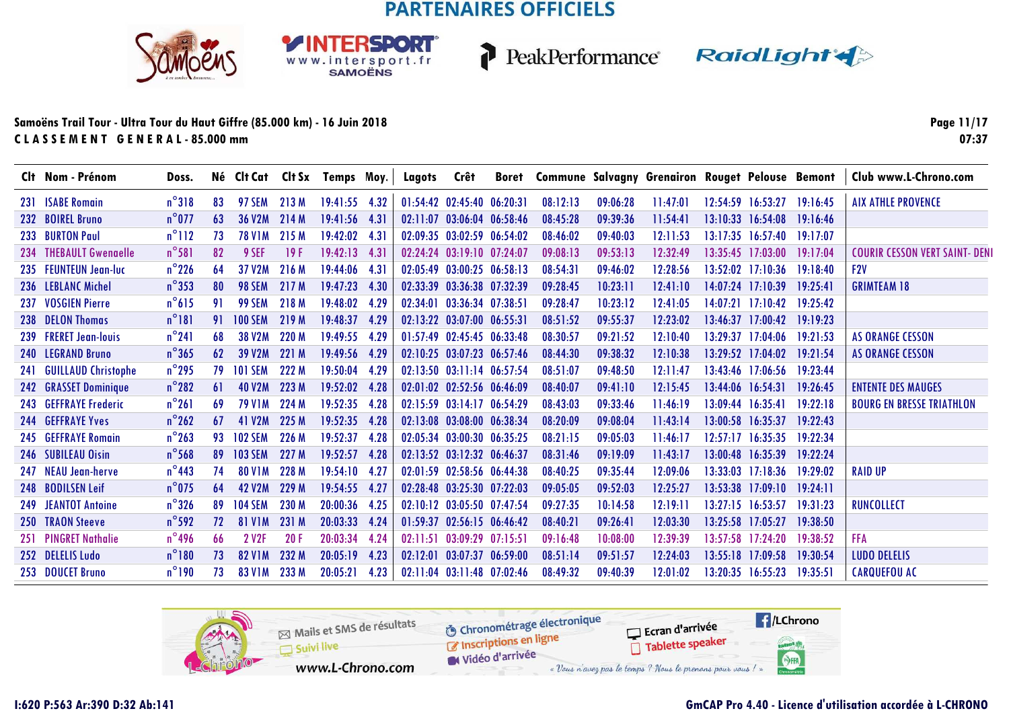SPORT

WWW.intersport.fr<br>SAMOËNS



PeakPerformance RaidLight

#### **Samoëns Trail Tour - Ultra Tour du Haut Giffre (85.000 km) - 16 Juin 2018C L A S S E M E N T G E N E R A L - 85.000 mm**

**Page 11/1707:37**

|     | Clt Nom - Prénom           | Doss.           |     |                     |       | Né Clt Cat Clt Sx Temps Moy. |      | Lagots   | Crêt                             |          |          |          | Boret Commune Salvagny Grenairon Rouget Pelouse Bemont |          |                            |          | Club www.L-Chrono.com            |
|-----|----------------------------|-----------------|-----|---------------------|-------|------------------------------|------|----------|----------------------------------|----------|----------|----------|--------------------------------------------------------|----------|----------------------------|----------|----------------------------------|
|     | 231 ISABE Romain           | $n^{\circ}318$  | 83  | <b>97 SEM</b>       | 213M  | $19:41:55$ 4.32              |      |          | 01:54:42 02:45:40 06:20:31       |          | 08:12:13 | 09:06:28 | 11:47:01                                               |          | 12:54:59 16:53:27          | 19:16:45 | <b>AIX ATHLE PROVENCE</b>        |
|     | 232 BOIREL Bruno           | $n^{\circ}$ 077 | 63  | 36 V2M              | 214 M | $19:41:56$ 4.31              |      |          | 02:11:07 03:06:04 06:58:46       |          | 08:45:28 | 09:39:36 | 11:54:41                                               |          | 13:10:33 16:54:08          | 19:16:46 |                                  |
|     | 233 BURTON Paul            | $n^{\circ}112$  | 73  | <b>78 V1M</b>       | 215M  | 19:42:02 4.31                |      |          | 02:09:35 03:02:59 06:54:02       |          | 08:46:02 | 09:40:03 | 12:11:53                                               |          | $13:17:35$ $16:57:40$      | 19:17:07 |                                  |
|     | 234 THEBAULT Gwengelle     | $n^{\circ}581$  | 82  | 9 SEF               | 19F   | $19:42:13$ 4.31              |      |          | 02:24:24 03:19:10 07:24:07       |          | 09:08:13 | 09:53:13 | 12:32:49                                               |          | $13:35:45$ $17:03:00$      | 19:17:04 | COURIR CESSON VERT SAINT- DENI   |
|     | 235 FEUNTEUN Jean-luc      | $n^{\circ}$ 226 | 64  | 37 V <sub>2</sub> M | 216 M | 19:44:06                     | 4.31 |          | $02:05:49$ $03:00:25$ $06:58:13$ |          | 08:54:31 | 09:46:02 | 12:28:56                                               |          | $13:52:02$ $17:10:36$      | 19:18:40 | F2V                              |
|     | 236 LEBLANC Michel         | $n^{\circ}353$  | 80  | 98 SEM              | 217 M | 19:47:23                     | 4.30 |          | 02:33:39 03:36:38 07:32:39       |          | 09:28:45 | 10:23:11 | 12:41:10                                               |          | $14:07:24$ 17:10:39        | 19:25:41 | <b>GRIMTEAM 18</b>               |
| 237 | <b>VOSGIEN Pierre</b>      | $n^{\circ}615$  | 91  | 99 SEM              | 218 M | 19:48:02                     | 4.29 |          | 02:34:01 03:36:34 07:38:51       |          | 09:28:47 | 10:23:12 | 12:41:05                                               |          | $14:07:21$ $17:10:42$      | 19:25:42 |                                  |
|     | 238 DELON Thomas           | $n^{\circ}181$  | 91  | <b>100 SEM</b>      | 219 M | 19:48:37                     | 4.29 |          | 02:13:22 03:07:00 06:55:31       |          | 08:51:52 | 09:55:37 | 12:23:02                                               |          | $13:46:37$ $17:00:42$      | 19:19:23 |                                  |
|     | 239 FRERET Jean-louis      | $n^{\circ}241$  | 68  | <b>38 V2M</b>       | 220 M | 19:49:55                     | 4.29 |          | 01:57:49 02:45:45 06:33:48       |          | 08:30:57 | 09:21:52 | 12:10:40                                               |          | $13:29:37$ $17:04:06$      | 19:21:53 | <b>AS ORANGE CESSON</b>          |
|     | 240 LEGRAND Bruno          | $n^{\circ}365$  | 62  | 39 V <sub>2</sub> M | 221 M | 19:49:56 4.29                |      |          | 02:10:25 03:07:23 06:57:46       |          | 08:44:30 | 09:38:32 | 12:10:38                                               |          | $13:29:52$ 17:04:02        | 19:21:54 | <b>AS ORANGE CESSON</b>          |
| 241 | <b>GUILLAUD Christophe</b> | $n^{\circ}$ 295 | 79  | <b>101 SEM</b>      | 222 M | 19:50:04                     | 4.29 |          | $02:13:50$ $03:11:14$ $06:57:54$ |          | 08:51:07 | 09:48:50 | 12:11:47                                               |          | 13:43:46 17:06:56 19:23:44 |          |                                  |
|     | 242 GRASSET Dominique      | $n^{\circ}282$  | 61  | <b>40 V2M</b>       | 223 M | 19:52:02                     | 4.28 |          | 02:01:02 02:52:56 06:46:09       |          | 08:40:07 | 09:41:10 | 12:15:45                                               |          | $13:44:06$ $16:54:31$      | 19:26:45 | <b>ENTENTE DES MAUGES</b>        |
|     | 243 GEFFRAYE Frederic      | $n^{\circ}261$  | -69 | <b>79 V1M</b>       | 224 M | 19:52:35                     | 4.28 |          | 02:15:59 03:14:17 06:54:29       |          | 08:43:03 | 09:33:46 | 11:46:19                                               |          | 13:09:44 16:35:41          | 19:22:18 | <b>BOURG EN BRESSE TRIATHLON</b> |
|     | <b>244 GEFFRAYE Yves</b>   | $n^{\circ}262$  | 67  | 41 V <sub>2</sub> M | 225M  | 19:52:35                     | 4.28 |          | 02:13:08 03:08:00 06:38:34       |          | 08:20:09 | 09:08:04 | 11:43:14                                               |          | $13.00.58$ 16.35.37        | 19.22.43 |                                  |
|     | 245 GEFFRAYE Romain        | $n^{\circ}$ 263 | 93  | <b>102 SEM</b>      | 226 M | 19:52:37                     | 4.28 |          | 02:05:34 03:00:30 06:35:25       |          | 08:21:15 | 09:05:03 | 11:46:17                                               |          | $12:57:17$ $16:35:35$      | 19:22:34 |                                  |
|     | 246 SUBILEAU Oisin         | $n^{\circ}$ 568 | 89  | <b>103 SEM</b>      | 227 M | 19:52:57                     | 4.28 |          | $02:13:52$ $03:12:32$ $06:46:37$ |          | 08:31:46 | 09:19:09 | 11:43:17                                               | 13:00:48 | 16:35:39                   | 19:22:24 |                                  |
|     | 247 NEAU Jean-herve        | $n^{\circ}$ 443 | 74  | <b>80 V1M</b>       | 228 M | 19:54:10                     | 4.27 |          | 02:01:59 02:58:56 06:44:38       |          | 08:40:25 | 09:35:44 | 12:09:06                                               |          | $13:33:03$ $17:18:36$      | 19:29:02 | <b>RAID UP</b>                   |
|     | 248 BODILSEN Leif          | $n^{\circ}$ 075 | 64  | <b>42 V2M</b>       | 229 M | 19:54:55                     | 4.27 |          | 02:28:48 03:25:30 07:22:03       |          | 09:05:05 | 09:52:03 | 12:25:27                                               |          | 13:53:38 17:09:10          | 19:24:11 |                                  |
|     | 249 JEANTOT Antoine        | $n^{\circ}$ 326 | 89  | <b>104 SEM</b>      | 230 M | 20:00:36                     | 4.25 |          | 02:10:12 03:05:50 07:47:54       |          | 09:27:35 | 10:14:58 | 12:19:11                                               |          | 13:27:15 16:53:57          | 19:31:23 | <b>RUNCOLLECT</b>                |
|     | 250 TRAON Steeve           | $n^{\circ}$ 592 | 72  | <b>81 V1M</b>       | 231 M | 20:03:33                     | 4.24 |          | 01:59:37 02:56:15 06:46:42       |          | 08:40:21 | 09:26:41 | 12:03:30                                               |          | 13:25:58 17:05:27          | 19:38:50 |                                  |
|     | 251 PINGRET Nathalie       | $n^{\circ}$ 496 | 66  | 2 V <sub>2</sub> F  | 20F   | 20:03:34                     | 4.24 | 02:11:51 | 03:09:29 07:15:51                |          | 09:16:48 | 10:08:00 | 12:39:39                                               | 13:57:58 | 17:24:20                   | 19:38:52 | <b>FFA</b>                       |
|     | 252 DELELIS Ludo           | $n^{\circ}180$  | 73  | <b>82 V1M</b>       | 232 M | 20:05:19                     | 4.23 | 02:12:01 | 03:07:37                         | 06:59:00 | 08:51:14 | 09:51:57 | 12:24:03                                               |          | 13:55:18 17:09:58          | 19:30:54 | <b>LUDO DELELIS</b>              |
|     | 253 DOUCET Bruno           | $n^{\circ}190$  | 73  | <b>83 V1M</b>       | 233 M | 20:05:21                     | 4.23 |          | 02:11:04 03:11:48 07:02:46       |          | 08:49:32 | 09:40:39 | 12:01:02                                               |          | 13:20:35 16:55:23          | 19:35:51 | <b>CARQUEFOU AC</b>              |

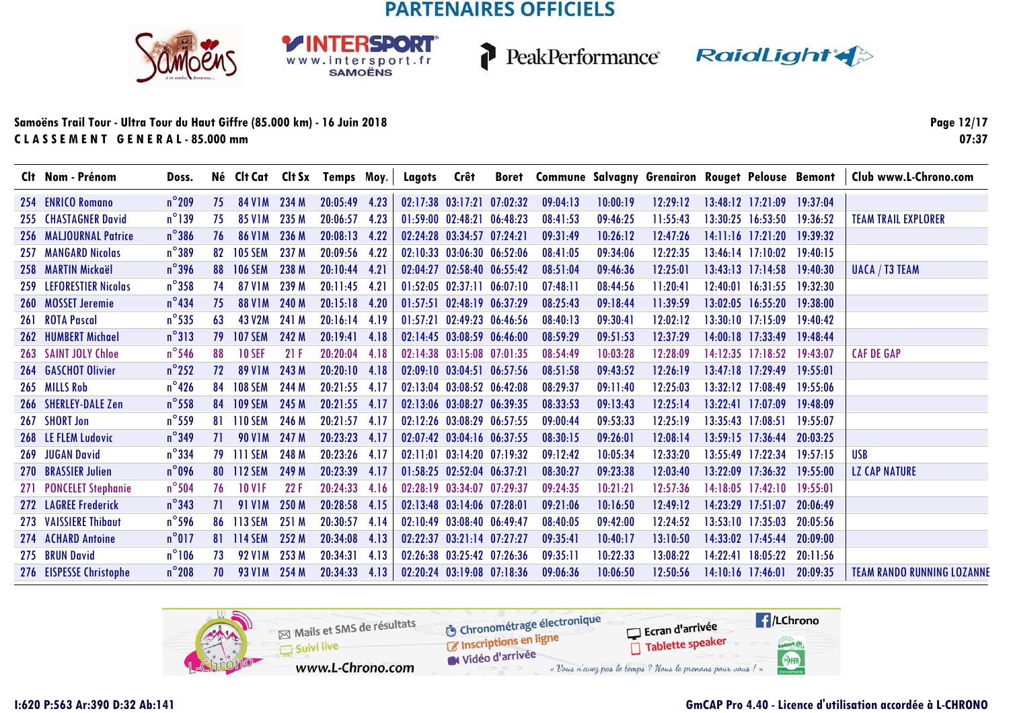**RSDORT** 

WWW.intersport.fr<br>SAMOËNS



P

PeakPerformance RaidLight

#### **Samoëns Trail Tour - Ultra Tour du Haut Giffre (85.000 km) - 16 Juin 2018C L A S S E M E N T G E N E R A L - 85.000 mm**

**Page 12/1707:37**

|     | Clt Nom - Prénom           | Doss.           |    |                     |       | Né Clt Cat Clt Sx Temps Moy. |      | Lagots | Crêt                             |          |          | Boret Commune Salvagny Grenairon Rouget Pelouse Bemont |          |                       |          | Club www.L-Chrono.com             |
|-----|----------------------------|-----------------|----|---------------------|-------|------------------------------|------|--------|----------------------------------|----------|----------|--------------------------------------------------------|----------|-----------------------|----------|-----------------------------------|
|     | 254 ENRICO Romano          | $n^{\circ}$ 209 | 75 | 84 V 1 M            | 234 M | 20:05:49                     | 4.23 |        | 02:17:38 03:17:21 07:02:32       | 09:04:13 | 10:00:19 | 12:29:12                                               |          | $13:48:12$ $17:21:09$ | 19:37:04 |                                   |
|     | 255 CHASTAGNER David       | $n^{\circ}$ 139 | 75 | 85 V <sub>1</sub> M | 235 M | 20:06:57                     | 4.23 |        | 01:59:00 02:48:21 06:48:23       | 08:41:53 | 09:46:25 | 11:55:43                                               |          | $13:30:25$ $16:53:50$ | 19:36:52 | <b>TEAM TRAIL EXPLORER</b>        |
|     | 256 MALJOURNAL Patrice     | $n^{\circ}$ 386 | 76 | <b>86 V1M</b>       | 236 M | 20:08:13                     | 4.22 |        | 02:24:28 03:34:57 07:24:21       | 09:31:49 | 10:26:12 | 12:47:26                                               |          | $14:11:16$ $17:21:20$ | 19:39:32 |                                   |
| 257 | <b>MANGARD Nicolas</b>     | $n^{\circ}389$  | 82 | <b>105 SEM</b>      | 237 M | 20:09:56                     | 4.22 |        | 02:10:33 03:06:30 06:52:06       | 08:41:05 | 09:34:06 | 12:22:35                                               |          | $13.46.14$ $17.10.02$ | 19:40:15 |                                   |
|     | 258 MARTIN Mickaël         | $n^{\circ}$ 396 | 88 | <b>106 SEM</b>      | 238 M | 20:10:44                     | 4.21 |        | 02:04:27 02:58:40 06:55:42       | 08:51:04 | 09:46:36 | 12:25:01                                               |          | $13:43:13$ $17:14:58$ | 19:40:30 | <b>UACA / T3 TEAM</b>             |
|     | 259 LEFORESTIER Nicolas    | $n^{\circ}358$  | 74 | 87 V1 M             | 239 M | 20:11:45                     | 4.21 |        | $01:52:05$ $02:37:11$ $06:07:10$ | 07:48:11 | 08:44:56 | 11:20:41                                               |          | $12:40:01$ $16:31:55$ | 19:32:30 |                                   |
|     | 260 MOSSET Jeremie         | $n^{\circ}$ 434 | 75 | <b>88 V1M</b>       | 240 M | 20:15:18                     | 4.20 |        | 01:57:51 02:48:19 06:37:29       | 08:25:43 | 09:18:44 | 11:39:59                                               |          | 13:02:05 16:55:20     | 19:38:00 |                                   |
|     | 261 ROTA Pascal            | $n^{\circ}$ 535 | 63 | 43 V <sub>2</sub> M | 241 M | $20:16:14$ 4.19              |      |        | $01:57:21$ $02:49:23$ $06:46:56$ | 08:40:13 | 09:30:41 | 12:02:12                                               |          | $13:30:10$ $17:15:09$ | 19:40:42 |                                   |
| 262 | <b>HUMBERT Michael</b>     | $n^{\circ}313$  | 79 | <b>107 SEM</b>      | 242 M | 20:19:41                     | 4.18 |        | 02:14:45 03:08:59 06:46:00       | 08:59:29 | 09:51:53 | 12:37:29                                               |          | $14:00:18$ 17:33:49   | 19:48:44 |                                   |
|     | 263 SAINT JOLY Chloe       | $n^{\circ}$ 546 | 88 | <b>10 SEF</b>       | 21F   | 20:20:04                     | 4.18 |        | 02:14:38 03:15:08 07:01:35       | 08:54:49 | 10:03:28 | 12:28:09                                               |          | $14:12:35$ $17:18:52$ | 19:43:07 | <b>CAF DE GAP</b>                 |
|     | <b>264 GASCHOT Olivier</b> | $n^{\circ}$ 252 | 72 | <b>89 V1M</b>       | 243 M | 20:20:10                     | 4.18 |        | $02:09:10$ $03:04:51$ $06:57:56$ | 08:51:58 | 09:43:52 | 12:26:19                                               |          | $13:47:18$ $17:29:49$ | 19:55:01 |                                   |
|     | 265 MILLS Rob              | $n^{\circ}$ 426 | 84 | <b>108 SEM</b>      | 244 M | 20:21:55                     | 4.17 |        | 02:13:04 03:08:52 06:42:08       | 08:29:37 | 09:11:40 | 12:25:03                                               |          | 13:32:12 17:08:49     | 19:55:06 |                                   |
|     | 266 SHERLEY-DALE Zen       | $n^{\circ}$ 558 | 84 | <b>109 SEM</b>      | 245 M | 20:21:55                     | 4.17 |        | 02:13:06 03:08:27 06:39:35       | 08:33:53 | 09:13:43 | 12:25:14                                               | 13:22:41 | 17:07:09              | 19:48:09 |                                   |
|     | 267 SHORT Jon              | $n^{\circ}$ 559 | 81 | <b>110 SEM</b>      | 246 M | 20:21:57                     | 4.17 |        | 02:12:26 03:08:29 06:57:55       | 09:00:44 | 09:53:33 | 12:25:19                                               |          | $13:35:43$ $17:08:51$ | 19:55:07 |                                   |
|     | 268 LE FLEM Ludovic        | $n^{\circ}$ 349 | 71 | <b>90 V1M</b>       | 247 M | 20:23:23                     | 4.17 |        | 02:07:42 03:04:16 06:37:55       | 08:30:15 | 09:26:01 | 12:08:14                                               |          | $13:59:15$ 17:36:44   | 20:03:25 |                                   |
| 269 | <b>JUGAN David</b>         | $n^{\circ}$ 334 | 79 | <b>TITI SEM</b>     | 248 M | 20:23:26                     | 4.17 |        | $02:11:01$ $03:14:20$ $07:19:32$ | 09:12:42 | 10:05:34 | 12:33:20                                               |          | 13:55:49 17:22:34     | 19:57:15 | USB                               |
|     | 270 BRASSIER Julien        | $n^{\circ}$ 096 | 80 | <b>112 SEM</b>      | 249 M | 20:23:39                     | 4.17 |        | 01:58:25 02:52:04 06:37:21       | 08:30:27 | 09:23:38 | 12:03:40                                               | 13:22:09 | 17:36:32              | 19:55:00 | <b>LZ CAP NATURE</b>              |
|     | 271 PONCELET Stephanie     | $n^{\circ}$ 504 | 76 | <b>10 V1F</b>       | 22F   | 20:24:33                     | 4.16 |        | 02:28:19 03:34:07 07:29:37       | 09:24:35 | 10:21:21 | 12:57:36                                               | 14:18:05 | 17:42:10              | 19:55:01 |                                   |
|     | 272 LAGREE Frederick       | $n^{\circ}$ 343 | 71 | <b>91 V1M</b>       | 250 M | 20:28:58                     | 4.15 |        | $02:13:48$ $03:14:06$ $07:28:01$ | 09:21:06 | 10:16:50 | 12:49:12                                               | 14:23:29 | 17:51:07              | 20:06:49 |                                   |
|     | 273 VAISSIERE Thibaut      | $n^{\circ}$ 596 | 86 | 113 SEM             | 251 M | 20:30:57                     | 4.14 |        | $02.10.49$ $03.08.40$ $06.49.47$ | 08:40:05 | 09:42:00 | 12:24:52                                               |          | $13:53:10$ $17:35:03$ | 20:05:56 |                                   |
|     | 274 ACHARD Antoine         | $n^{\circ}017$  | 81 | <b>114 SEM</b>      | 252 M | 20:34:08                     | 4.13 |        | 02:22:37 03:21:14 07:27:27       | 09:35:41 | 10:40:17 | 13:10:50                                               | 14:33:02 | 17:45:44              | 20:09:00 |                                   |
|     | 275 BRUN David             | $n^{\circ}106$  | 73 | <b>92 VIM</b>       | 253 M | 20:34:31                     | 4.13 |        | 02:26:38 03:25:42 07:26:36       | 09:35:11 | 10:22:33 | 13:08:22                                               | 14:22:41 | 18:05:22              | 20:11:56 |                                   |
|     | 276 EISPESSE Christophe    | $n^{\circ}$ 208 | 70 | <b>93 VIM</b>       | 254 M | 20:34:33                     | 4.13 |        | 02:20:24 03:19:08 07:18:36       | 09:06:36 | 10:06:50 | 12:50:56                                               |          | 14:10:16 17:46:01     | 20:09:35 | <b>TEAM RANDO RUNNING LOZANNE</b> |

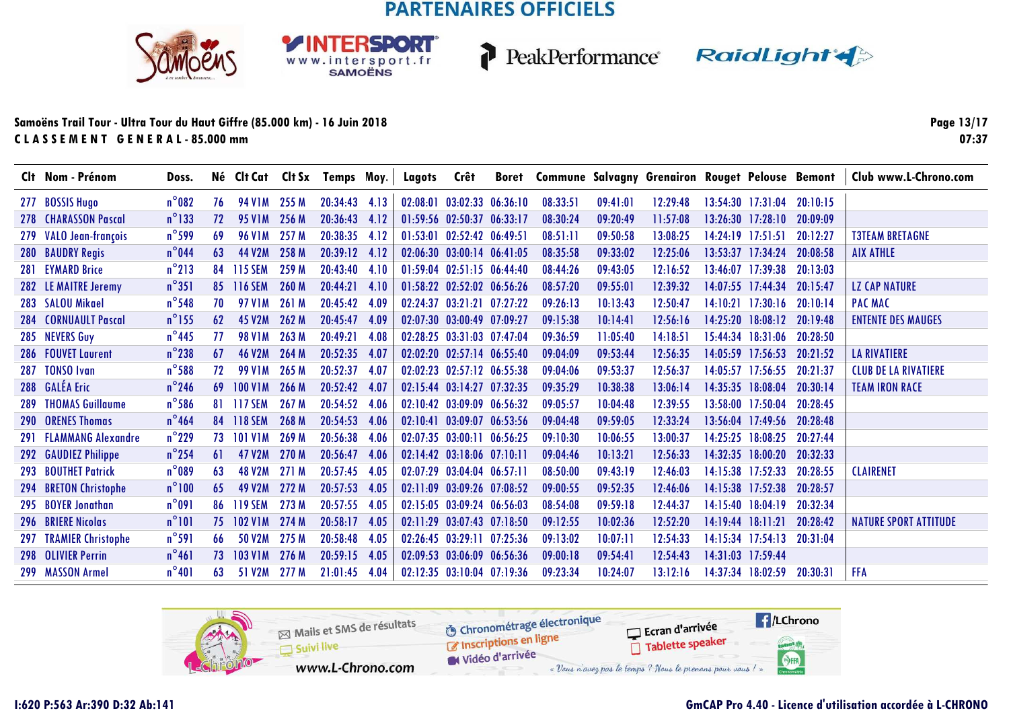**RSDORT** 

WWW.intersport.fr<br>SAMOËNS



P

PeakPerformance RaidLight

#### **Samoëns Trail Tour - Ultra Tour du Haut Giffre (85.000 km) - 16 Juin 2018C L A S S E M E N T G E N E R A L - 85.000 mm**

**Page 13/1707:37**

|            | Clt Nom - Prénom            | Doss.           |    |                     |       | Né Clt Cat Clt Sx Temps Moy. |      | Lagots | Crêt                       | Boret Commune Salvagny Grenairon Rouget Pelouse Bemont |          |          |          |                            |          | Club www.L-Chrono.com        |
|------------|-----------------------------|-----------------|----|---------------------|-------|------------------------------|------|--------|----------------------------|--------------------------------------------------------|----------|----------|----------|----------------------------|----------|------------------------------|
|            | 277 BOSSIS Hugo             | $n^{\circ}082$  | 76 | <b>94 V1M</b>       | 255 M | $20:34:43$ 4.13              |      |        | 02:08:01 03:02:33 06:36:10 | 08:33:51                                               | 09:41:01 | 12:29:48 |          | 13:54:30 17:31:04          | 20:10:15 |                              |
|            | 278 CHARASSON Pascal        | $n^{\circ}$ 133 | 72 | <b>95 V1M</b>       | 256 M | 20:36:43 4.12                |      |        | 01:59:56 02:50:37 06:33:17 | 08:30:24                                               | 09:20:49 | 11:57:08 |          | $13:26:30$ $17:28:10$      | 20:09:09 |                              |
|            | 279 VALO Jean-françois      | $n^{\circ}$ 599 | 69 | <b>96 V1M</b>       | 257 M | 20:38:35                     | 4.12 |        | 01:53:01 02:52:42 06:49:51 | 08:51:11                                               | 09:50:58 | 13:08:25 |          | 14:24:19 17:51:51          | 20:12:27 | <b>T3TEAM BRETAGNE</b>       |
|            | 280 BAUDRY Regis            | $n^{\circ}$ 044 | 63 | 44 V2M              | 258 M | $20:39:12$ 4.12              |      |        | 02:06:30 03:00:14 06:41:05 | 08:35:58                                               | 09:33:02 | 12:25:06 |          | $13:53:37$ $17:34:24$      | 20:08:58 | <b>AIX ATHLE</b>             |
|            | 281 EYMARD Brice            | $n^{\circ}$ 213 | 84 | <b>115 SEM</b>      | 259 M | 20:43:40                     | 4.10 |        | 01:59:04 02:51:15 06:44:40 | 08:44:26                                               | 09:43:05 | 12:16:52 |          | $13:46:07$ $17:39:38$      | 20:13:03 |                              |
|            | 282 LE MAITRE Jeremy        | $n^{\circ}351$  | 85 | <b>116 SEM</b>      | 260 M | 20:44:21 4.10                |      |        | 01:58:22 02:52:02 06:56:26 | 08:57:20                                               | 09:55:01 | 12:39:32 |          | 14:07:55 17:44:34          | 20:15:47 | <b>LZ CAP NATURE</b>         |
|            | 283 SALOU Mikael            | $n^{\circ}$ 548 | 70 | 97 V <sub>1</sub> M | 261 M | 20:45:42                     | 4.09 |        | 02:24:37 03:21:21 07:27:22 | 09:26:13                                               | 10:13:43 | 12:50:47 |          | $14:10:21$ 17:30:16        | 20:10:14 | <b>PAC MAC</b>               |
|            | <b>284 CORNUAULT Pascal</b> | $n^{\circ}$ 155 | 62 | 45 V2M              | 262 M | 20:45:47                     | 4.09 |        | 02:07:30 03:00:49 07:09:27 | 09:15:38                                               | 10:14:41 | 12:56:16 |          | 14:25:20 18:08:12 20:19:48 |          | <b>ENTENTE DES MAUGES</b>    |
|            | 285 NEVERS Guy              | $n^{\circ}$ 445 | 77 | <b>98 VIM</b>       | 263 M | 20:49:21                     | 4.08 |        | 02:28:25 03:31:03 07:47:04 | 09:36:59                                               | 11:05:40 | 14:18:51 |          | 15:44:34 18:31:06 20:28:50 |          |                              |
|            | 286 FOUVET Laurent          | $n^{\circ}$ 238 | 67 | <b>46 V2M</b>       | 264 M | 20:52:35                     | 4.07 |        | 02:02:20 02:57:14 06:55:40 | 09:04:09                                               | 09:53:44 | 12:56:35 |          | $14:05:59$ 17:56:53        | 20:21:52 | <b>LA RIVATIERE</b>          |
|            | 287 TONSO Ivan              | $n^{\circ}$ 588 | 72 | <b>99 V1M</b>       | 265 M | 20:52:37                     | 4.07 |        | 02:02:23 02:57:12 06:55:38 | 09:04:06                                               | 09:53:37 | 12:56:37 |          | $14:05:57$ 17:56:55        | 20:21:37 | <b>CLUB DE LA RIVATIERE</b>  |
|            | 288 GALÉA Eric              | $n^{\circ}$ 246 | 69 | <b>100 V1M</b>      | 266 M | 20:52:42                     | 4.07 |        | 02:15:44 03:14:27 07:32:35 | 09:35:29                                               | 10:38:38 | 13:06:14 |          | 14:35:35 18:08:04          | 20:30:14 | <b>TEAM IRON RACE</b>        |
| 289        | <b>THOMAS Guillaume</b>     | $n^{\circ}$ 586 | 81 | <b>117 SEM</b>      | 267 M | 20:54:52                     | 4.06 |        | 02:10:42 03:09:09 06:56:32 | 09:05:57                                               | 10:04:48 | 12:39:55 |          | 13:58:00 17:50:04          | 20:28:45 |                              |
|            | <b>290 ORENES Thomas</b>    | $n^{\circ}$ 464 | 84 | <b>118 SEM</b>      | 268 M | 20:54:53                     | 4.06 |        | 02:10:41 03:09:07 06:53:56 | 09:04:48                                               | 09:59:05 | 12:33:24 |          | $13:56:04$ 17:49:56        | 20:28:48 |                              |
| <b>291</b> | <b>FLAMMANG Alexandre</b>   | $n^{\circ}$ 229 | 73 | <b>101 V1M</b>      | 269 M | 20:56:38                     | 4.06 |        | 02:07:35 03:00:11 06:56:25 | 09:10:30                                               | 10:06:55 | 13:00:37 |          | 14:25:25 18:08:25          | 20:27:44 |                              |
| 292        | <b>GAUDIEZ Philippe</b>     | $n^{\circ}$ 254 | 61 | 47 V2M              | 270 M | 20:56:47                     | 4.06 |        | 02:14:42 03:18:06 07:10:11 | 09:04:46                                               | 10:13:21 | 12:56:33 |          | $14:32:35$ $18:00:20$      | 20:32:33 |                              |
| 293        | <b>BOUTHET Patrick</b>      | $n^{\circ}089$  | 63 | <b>48 V2M</b>       | 271 M | 20:57:45                     | 4.05 |        | 02:07:29 03:04:04 06:57:11 | 08:50:00                                               | 09:43:19 | 12:46:03 | 14:15:38 | 17:52:33                   | 20:28:55 | <b>CLAIRENET</b>             |
| 294        | <b>BRETON Christophe</b>    | $n^{\circ}100$  | 65 | 49 V <sub>2</sub> M | 272 M | 20:57:53                     | 4.05 |        | 02:11:09 03:09:26 07:08:52 | 09:00:55                                               | 09:52:35 | 12:46:06 | 14:15:38 | 17:52:38                   | 20:28:57 |                              |
|            | 295 BOYER Jonathan          | $n^{\circ}091$  | 86 | <b>119 SEM</b>      | 273 M | 20:57:55                     | 4.05 |        | 02:15:05 03:09:24 06:56:03 | 08:54:08                                               | 09:59:18 | 12:44:37 | 14:15:40 | 18:04:19                   | 20:32:34 |                              |
|            | <b>296 BRIERE Nicolas</b>   | $n^{\circ}101$  | 75 | <b>102 V1M</b>      | 274 M | 20:58:17                     | 4.05 |        | 02:11:29 03:07:43 07:18:50 | 09:12:55                                               | 10:02:36 | 12:52:20 | 14:19:44 | 18:11:21                   | 20:28:42 | <b>NATURE SPORT ATTITUDE</b> |
|            | 297 TRAMIER Christophe      | $n^{\circ}591$  | 66 | <b>50 V2M</b>       | 275 M | 20:58:48                     | 4.05 |        | 02:26:45 03:29:11 07:25:36 | 09:13:02                                               | 10:07:11 | 12:54:33 |          | $14:15:34$ 17:54:13        | 20:31:04 |                              |
|            | 298 OLIVIER Perrin          | $n^{\circ}461$  | 73 | <b>103 V1M</b>      | 276 M | 20:59:15                     | 4.05 |        | 02:09:53 03:06:09 06:56:36 | 09:00:18                                               | 09:54:41 | 12:54:43 |          | 14:31:03 17:59:44          |          |                              |
|            | 299 MASSON Armel            | $n^{\circ}401$  | 63 | 51 V2M              | 277 M | 21:01:45                     | 4.04 |        | 02:12:35 03:10:04 07:19:36 | 09:23:34                                               | 10:24:07 | 13:12:16 |          | 14:37:34 18:02:59          | 20:30:31 | <b>FFA</b>                   |

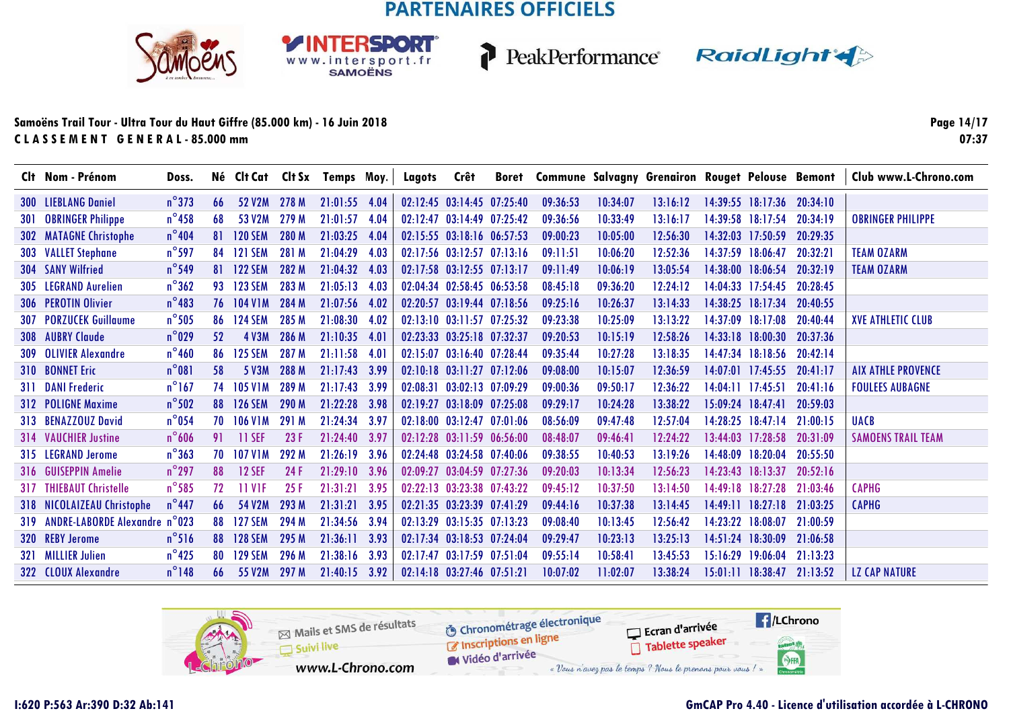**RSDORT** 

WWW.intersport.fr<br>SAMOËNS



PeakPerformance RaidLight

#### **Samoëns Trail Tour - Ultra Tour du Haut Giffre (85.000 km) - 16 Juin 2018C L A S S E M E N T G E N E R A L - 85.000 mm**

**Page 14/1707:37**

|            | Clt Nom - Prénom               | Doss.           |     |                     |       | Né Clt Cat Clt Sx Temps Moy. |      | Lagots | Crêt                             | Boret Commune Salvagny Grenairon Rouget Pelouse Bemont |          |          |          |                            |          | Club www.L-Chrono.com     |
|------------|--------------------------------|-----------------|-----|---------------------|-------|------------------------------|------|--------|----------------------------------|--------------------------------------------------------|----------|----------|----------|----------------------------|----------|---------------------------|
|            | <b>300 LIEBLANG Daniel</b>     | $n^{\circ}373$  | 66  | 52 V2M              | 278 M | 21:01:55 4.04                |      |        | 02:12:45 03:14:45 07:25:40       | 09:36:53                                               | 10:34:07 | 13:16:12 |          | $14:39:55$ $18:17:36$      | 20:34:10 |                           |
|            | <b>301 OBRINGER Philippe</b>   | $n^{\circ}$ 458 | 68  | 53 V <sub>2</sub> M | 279 M | 21:01:57                     | 4.04 |        | 02:12:47 03:14:49 07:25:42       | 09:36:56                                               | 10:33:49 | 13:16:17 |          | 14:39:58 18:17:54          | 20:34:19 | <b>OBRINGER PHILIPPE</b>  |
| <b>302</b> | <b>MATAGNE Christophe</b>      | $n^{\circ}$ 404 | 81  | <b>120 SEM</b>      | 280 M | 21:03:25                     | 4.04 |        | 02:15:55 03:18:16 06:57:53       | 09:00:23                                               | 10:05:00 | 12:56:30 |          | 14:32:03 17:50:59          | 20:29:35 |                           |
|            | 303 VALLET Stephane            | $n^{\circ}$ 597 | 84  | <b>121 SEM</b>      | 281 M | 21:04:29                     | 4.03 |        | 02:17:56 03:12:57 07:13:16       | 09:11:51                                               | 10:06:20 | 12:52:36 |          | 14:37:59 18:06:47          | 20:32:21 | <b>TEAM OZARM</b>         |
|            | 304 SANY Wilfried              | $n^{\circ}$ 549 | 81  | <b>122 SEM</b>      | 282 M | 21:04:32                     | 4.03 |        | 02:17:58 03:12:55 07:13:17       | 09:11:49                                               | 10:06:19 | 13:05:54 |          | 14:38:00 18:06:54          | 20:32:19 | <b>TEAM OZARM</b>         |
|            | 305 LEGRAND Aurelien           | $n^{\circ}362$  | 93  | <b>123 SEM</b>      | 283 M | 21:05:13                     | 4.03 |        | 02:04:34 02:58:45 06:53:58       | 08:45:18                                               | 09:36:20 | 12:24:12 |          | 14:04:33 17:54:45          | 20:28:45 |                           |
|            | 306 PEROTIN Olivier            | $n^{\circ}$ 483 |     | 76 104 V1M          | 284 M | 21:07:56                     | 4.02 |        | 02:20:57 03:19:44 07:18:56       | 09:25:16                                               | 10:26:37 | 13:14:33 |          | 14:38:25 18:17:34          | 20:40:55 |                           |
|            | <b>307 PORZUCEK Guillaume</b>  | $n^{\circ}$ 505 | 86  | 124 SEM             | 285 M | 21:08:30                     | 4.02 |        | 02:13:10 03:11:57 07:25:32       | 09:23:38                                               | 10:25:09 | 13:13:22 |          | 14:37:09 18:17:08          | 20:40:44 | <b>XVE ATHLETIC CLUB</b>  |
|            | <b>308 AUBRY Claude</b>        | $n^{\circ}$ 029 | 52  | <b>4 V3M</b>        | 286 M | 21:10:35                     | 4.01 |        | $02:23:33$ $03:25:18$ $07:32:37$ | 09:20:53                                               | 10:15:19 | 12:58:26 |          | $14:33:18$ $18:00:30$      | 20:37:36 |                           |
| 309        | <b>OLIVIER Alexandre</b>       | $n^{\circ}$ 460 | 86  | <b>125 SEM</b>      | 287 M | 21:11:58                     | 4.01 |        | 02:15:07 03:16:40 07:28:44       | 09:35:44                                               | 10:27:28 | 13:18:35 |          | 14:47:34 18:18:56 20:42:14 |          |                           |
|            | <b>310 BONNET Eric</b>         | $n^{\circ}081$  | 58  | 5 V3M               | 288 M | 21:17:43                     | 3.99 |        | $02:10:18$ $03:11:27$ $07:12:06$ | 09:08:00                                               | 10:15:07 | 12:36:59 |          | $14:07:01$ 17:45:55        | 20:41:17 | <b>AIX ATHLE PROVENCE</b> |
|            | <b>311 DANI Frederic</b>       | $n^{\circ}$ 167 | 74  | <b>105 V1M</b>      | 289 M | 21:17:43                     | 3.99 |        | $02:08:31$ $03:02:13$ $07:09:29$ | 09:00:36                                               | 09:50:17 | 12:36:22 |          | $14:04:11$ $17:45:51$      | 20:41:16 | <b>FOULEES AUBAGNE</b>    |
|            | 312 POLIGNE Maxime             | $n^{\circ}$ 502 | 88  | <b>126 SEM</b>      | 290 M | 21:22:28                     | 3.98 |        | 02:19:27 03:18:09 07:25:08       | 09:29:17                                               | 10:24:28 | 13:38:22 |          | $15:09:24$ $18:47:41$      | 20:59:03 |                           |
|            | 313 BENAZZOUZ David            | $n^{\circ}$ 054 | 70. | <b>106 V1M</b>      | 291 M | 21:24:34                     | 3.97 |        | 02:18:00 03:12:47 07:01:06       | 08:56:09                                               | 09:47:48 | 12:57:04 |          | 14:28:25 18:47:14          | 21:00:15 | <b>UACB</b>               |
|            | <b>314 VAUCHIER Justine</b>    | $n^{\circ}$ 606 | 91  | <b>11 SEF</b>       | 23F   | 21:24:40                     | 3.97 |        | 02:12:28 03:11:59 06:56:00       | 08:48:07                                               | 09:46:41 | 12:24:22 |          | $13:44:03$ $17:28:58$      | 20:31:09 | <b>SAMOENS TRAIL TEAM</b> |
|            | 315 LEGRAND Jerome             | $n^{\circ}363$  | 70  | <b>107 V1M</b>      | 292 M | 21:26:19                     | 3.96 |        | 02:24:48 03:24:58 07:40:06       | 09:38:55                                               | 10:40:53 | 13:19:26 |          | 14:48:09 18:20:04          | 20:55:50 |                           |
|            | 316 GUISEPPIN Amelie           | $n^{\circ}$ 297 | 88  | <b>12 SEF</b>       | 24 F  | 21:29:10                     | 3.96 |        | 02:09:27 03:04:59 07:27:36       | 09:20:03                                               | 10:13:34 | 12:56:23 |          | $14:23:43$ $18:13:37$      | 20:52:16 |                           |
|            | <b>317 THIEBAUT Christelle</b> | $n^{\circ}$ 585 | 72  | 11 V1F              | 25F   | 21:31:21                     | 3.95 |        | 02:22:13 03:23:38 07:43:22       | 09:45:12                                               | 10:37:50 | 13:14:50 |          | 14:49:18 18:27:28          | 21:03:46 | <b>CAPHG</b>              |
| 318        | <b>NICOLAIZEAU Christophe</b>  | $n^{\circ}$ 447 | 66  | 54 V2M              | 293 M | 21:31:21                     | 3.95 |        | 02:21:35 03:23:39 07:41:29       | 09:44:16                                               | 10:37:38 | 13:14:45 | 14:49:11 | 18:27:18                   | 21:03:25 | <b>CAPHG</b>              |
| <b>319</b> | <b>ANDRE-LABORDE Alexandre</b> | $n^{\circ}$ 023 | 88  | <b>127 SEM</b>      | 294 M | 21:34:56                     | 3.94 |        | $02:13:29$ $03:15:35$ $07:13:23$ | 09:08:40                                               | 10:13:45 | 12:56:42 | 14.23.22 | 18.08:07                   | 21:00:59 |                           |
| <b>320</b> | <b>REBY Jerome</b>             | $n^{\circ}$ 516 | 88  | <b>128 SEM</b>      | 295 M | 21:36:11                     | 3.93 |        | 02:17:34 03:18:53 07:24:04       | 09:29:47                                               | 10:23:13 | 13:25:13 | 14:51:24 | 18:30:09                   | 21:06:58 |                           |
|            | 321 MILLIER Julien             | $n^{\circ}$ 425 | 80  | <b>129 SEM</b>      | 296 M | 21:38:16                     | 3.93 |        | 02:17:47 03:17:59 07:51:04       | 09:55:14                                               | 10:58:41 | 13:45:53 | 15:16:29 | 19:06:04                   | 21:13:23 |                           |
|            | 322 CLOUX Alexandre            | $n^{\circ}$ 148 | 66  | 55 V2M              | 297 M | 21:40:15                     | 3.92 |        | 02:14:18 03:27:46 07:51:21       | 10:07:02                                               | 11:02:07 | 13:38:24 |          | 15:01:11 18:38:47 21:13:52 |          | <b>LZ CAP NATURE</b>      |

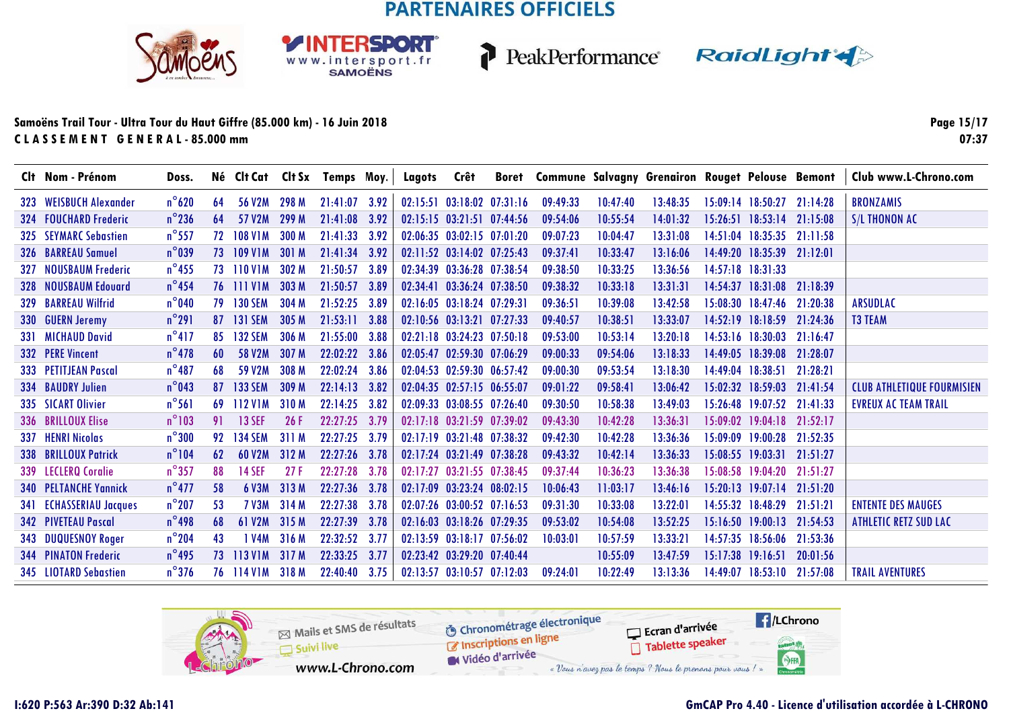SPORT

WWW.intersport.fr<br>SAMOËNS



PeakPerformance RaidLight

#### **Samoëns Trail Tour - Ultra Tour du Haut Giffre (85.000 km) - 16 Juin 2018C L A S S E M E N T G E N E R A L - 85.000 mm**

**Page 15/1707:37**

|            | Clt Nom - Prénom               | Doss.           |    |                     |       | Né Clt Cat Clt Sx Temps Moy. |      | Lagots Crêt |                                  |          |          | Boret Commune Salvagny Grenairon Rouget Pelouse Bemont |                                  |          | Club www.L-Chrono.com             |
|------------|--------------------------------|-----------------|----|---------------------|-------|------------------------------|------|-------------|----------------------------------|----------|----------|--------------------------------------------------------|----------------------------------|----------|-----------------------------------|
|            | 323 WEISBUCH Alexander         | $n^{\circ}620$  | 64 | 56 V2M              | 298 M | $21:41:07$ 3.92              |      |             | 02:15:51 03:18:02 07:31:16       | 09:49:33 | 10:47:40 | 13:48:35                                               | 15:09:14 18:50:27 21:14:28       |          | <b>BRONZAMIS</b>                  |
|            | 324 FOUCHARD Frederic          | $n^{\circ}$ 236 | 64 | 57 V <sub>2</sub> M | 299 M | 21:41:08 3.92                |      |             | 02:15:15 03:21:51 07:44:56       | 09:54:06 | 10:55:54 | 14:01:32                                               | 15:26:51 18:53:14 21:15:08       |          | <b>S/L THONON AC</b>              |
| 325        | <b>SEYMARC Sebastien</b>       | $n^{\circ}$ 557 | 72 | <b>108 V1M</b>      | 300 M | 21:41:33                     | 3.92 |             | $02:06:35$ $03:02:15$ $07:01:20$ | 09:07:23 | 10:04:47 | 13:31:08                                               | $14:51:04$ $18:35:35$ $21:11:58$ |          |                                   |
|            | 326 BARREAU Samuel             | $n^{\circ}039$  | 73 | <b>109 V1M</b>      | 301 M | 21:41:34 3.92                |      |             | $02:11:52$ $03:14:02$ $07:25:43$ | 09:37:41 | 10:33:47 | 13:16:06                                               | $14:49:20$ $18:35:39$ $21:12:01$ |          |                                   |
| 327        | <b>NOUSBAUM Frederic</b>       | $n^{\circ}$ 455 |    | 73 110 V1M          | 302 M | 21:50:57 3.89                |      |             | 02:34:39 03:36:28 07:38:54       | 09:38:50 | 10:33:25 | 13:36:56                                               | $14:57:18$ $18:31:33$            |          |                                   |
| 328        | <b>NOUSBAUM Edouard</b>        | $n^{\circ}$ 454 |    | 76 111 V1M          | 303M  | 21:50:57 3.89                |      |             | 02:34:41 03:36:24 07:38:50       | 09:38:32 | 10:33:18 | 13:31:31                                               | $14:54:37$ $18:31:08$ 21:18:39   |          |                                   |
|            | 329 BARREAU Wilfrid            | $n^{\circ}$ 040 | 79 | <b>130 SEM</b>      | 304 M | 21:52:25 3.89                |      |             | $02:16:05$ $03:18:24$ $07:29:31$ | 09:36:51 | 10:39:08 | 13:42:58                                               | 15:08:30 18:47:46 21:20:38       |          | ARSUDLAC                          |
| <b>330</b> | <b>GUERN Jeremy</b>            | $n^{\circ}291$  | 87 | <b>131 SEM</b>      | 305 M | $21:53:11$ 3.88              |      |             | 02:10:56 03:13:21 07:27:33       | 09:40:57 | 10:38:51 | 13:33:07                                               | $14:52:19$ $18:18:59$            | 21:24:36 | <b>T3 TEAM</b>                    |
|            | 331 MICHAUD David              | $n^{\circ}417$  | 85 | <b>132 SEM</b>      | 306 M | 21:55:00 3.88                |      |             | $02:21:18$ $03:24:23$ $07:50:18$ | 09:53:00 | 10:53:14 | 13:20:18                                               | $14:53:16$ $18:30:03$            | 21:16:47 |                                   |
|            | 332 PERE Vincent               | $n^{\circ}$ 478 | 60 | 58 V2M              | 307 M | 22:02:22                     | 3.86 |             | 02:05:47 02:59:30 07:06:29       | 09:00:33 | 09:54:06 | 13:18:33                                               | 14:49:05 18:39:08 21:28:07       |          |                                   |
|            | 333 PETITJEAN Pascal           | $n^{\circ}487$  | 68 | 59 V <sub>2</sub> M | 308 M | 22:02:24                     | 3.86 |             | 02:04:53 02:59:30 06:57:42       | 09:00:30 | 09:53:54 | 13:18:30                                               | $14:49:04$ $18:38:51$            | 21:28:21 |                                   |
|            | <b>334 BAUDRY Julien</b>       | $n^{\circ}$ 043 | 87 | <b>133 SEM</b>      | 309 M | 22:14:13                     | 3.82 |             | 02:04:35 02:57:15 06:55:07       | 09:01:22 | 09:58:41 | 13:06:42                                               | 15:02:32 18:59:03 21:41:54       |          | <b>CLUB ATHLETIQUE FOURMISIEN</b> |
|            | 335 SICART Olivier             | $n^{\circ}$ 561 | 69 | 112 V1M             | 310 M | 22:14:25                     | 3.82 |             | 02:09:33 03:08:55 07:26:40       | 09:30:50 | 10:58:38 | 13:49:03                                               | 15:26:48 19:07:52 21:41:33       |          | <b>EVREUX AC TEAM TRAIL</b>       |
|            | 336 BRILLOUX Elise             | $n^{\circ}103$  | 91 | <b>13 SEF</b>       | 26F   | 22:27:25                     | 3.79 |             | $02:17:18$ $03:21:59$ $07:39:02$ | 09:43:30 | 10:42:28 | 13:36:31                                               | $15.09.02$ $19.04.18$ $21.52.17$ |          |                                   |
|            | 337 HENRI Nicolas              | $n^{\circ}300$  | 92 | <b>134 SEM</b>      | 311 M | 22:27:25                     | 3.79 |             | 02:17:19 03:21:48 07:38:32       | 09:42:30 | 10:42:28 | 13:36:36                                               | 15:09:09 19:00:28                | 21:52:35 |                                   |
|            | 338 BRILLOUX Patrick           | $n^{\circ}104$  | 62 | <b>60 V2M</b>       | 312M  | 22:27:26                     | 3.78 |             | 02:17:24 03:21:49 07:38:28       | 09:43:32 | 10:42:14 | 13:36:33                                               | $15:08:55$ 19:03:31              | 21:51:27 |                                   |
|            | 339 LECLERO Coralie            | $n^{\circ}357$  | 88 | <b>14 SEF</b>       | 27F   | 22:27:28                     | 3.78 |             | 02:17:27 03:21:55 07:38:45       | 09:37:44 | 10:36:23 | 13:36:38                                               | 15:08:58 19:04:20                | 21:51:27 |                                   |
|            | <b>340 PELTANCHE Yannick</b>   | $n^{\circ}477$  | 58 | 6 V3M               | 313 M | 22:27:36                     | 3.78 |             | 02:17:09 03:23:24 08:02:15       | 10:06:43 | 11:03:17 | 13:46:16                                               | $15:20:13$ $19:07:14$            | 21:51:20 |                                   |
|            | <b>341 ECHASSERIAU Jacques</b> | $n^{\circ}$ 207 | 53 | <b>7 V3M</b>        | 314 M | 22:27:38                     | 3.78 |             | 02:07:26 03:00:52 07:16:53       | 09:31:30 | 10:33:08 | 13:22:01                                               | 14:55:32 18:48:29                | 21:51:21 | <b>ENTENTE DES MAUGES</b>         |
|            | <b>342 PIVETEAU Pascal</b>     | $n^{\circ}$ 498 | 68 | 61 V <sub>2</sub> M | 315 M | 22:27:39                     | 3.78 |             | 02:16:03 03:18:26 07:29:35       | 09:53:02 | 10:54:08 | 13:52:25                                               | $15:16:50$ 19:00:13              | 21:54:53 | <b>ATHLETIC RETZ SUD LAC</b>      |
|            | 343 DUQUESNOY Roger            | $n^{\circ}$ 204 | 43 | I V4M               | 316 M | 22:32:52                     | 3.77 |             | 02:13:59 03:18:17 07:56:02       | 10:03:01 | 10:57:59 | 13:33:21                                               | 14:57:35 18:56:06 21:53:36       |          |                                   |
|            | <b>344 PINATON Frederic</b>    | $n^{\circ}$ 495 | 73 | 113 V1M             | 317 M | 22:33:25                     | 3.77 |             | 02:23:42 03:29:20 07:40:44       |          | 10:55:09 | 13:47:59                                               | $15:17:38$ 19:16:51              | 20:01:56 |                                   |
|            | 345 LIOTARD Sebastien          | $n^{\circ}376$  |    | 76 114 V1M          | 318 M | 22:40:40                     | 3.75 |             | 02:13:57 03:10:57 07:12:03       | 09:24:01 | 10:22:49 | 13:13:36                                               | 14:49:07 18:53:10                | 21:57:08 | <b>TRAIL AVENTURES</b>            |

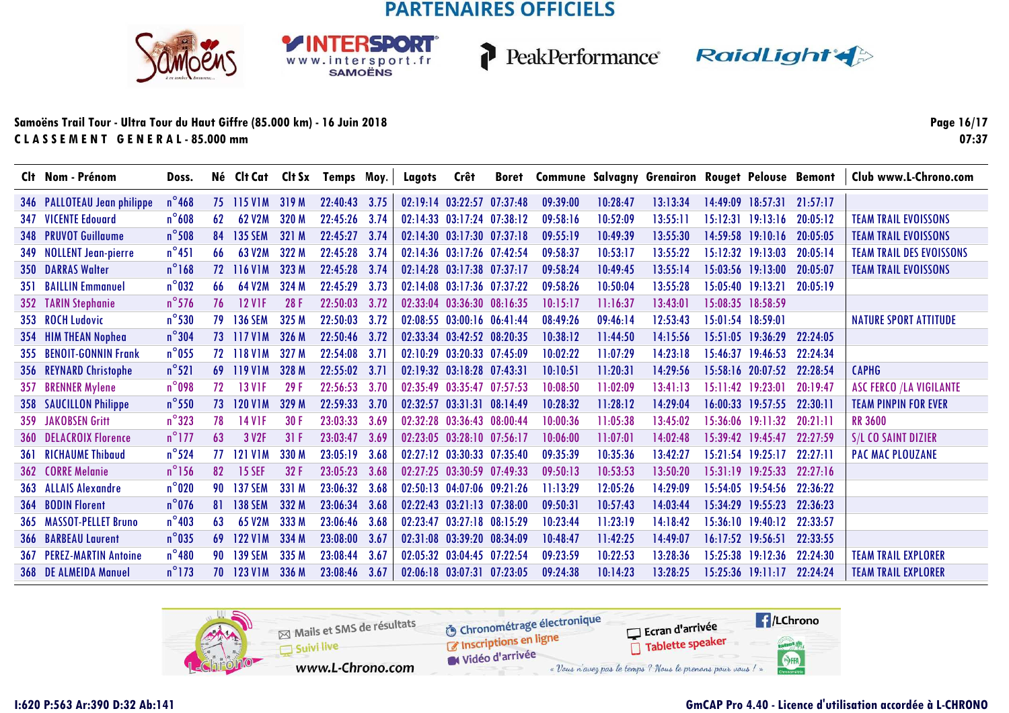**RSDORT** 

WWW.intersport.fr<br>SAMOËNS



P

PeakPerformance RaidLight

#### **Samoëns Trail Tour - Ultra Tour du Haut Giffre (85.000 km) - 16 Juin 2018C L A S S E M E N T G E N E R A L - 85.000 mm**

**Page 16/1707:37**

|     | Clt Nom - Prénom                | Doss.           |              | Né Clt Cat          |       | CIt Sx Temps Moy. |      | Lagots   | Crêt                             | <b>Boret</b> | <b>Commune Salvagny Grenairon Rouget Pelouse Bemont</b> |          |          |          |                            |          | Club www.L-Chrono.com           |
|-----|---------------------------------|-----------------|--------------|---------------------|-------|-------------------|------|----------|----------------------------------|--------------|---------------------------------------------------------|----------|----------|----------|----------------------------|----------|---------------------------------|
|     | 346 PALLOTEAU Jean philippe     | $n^{\circ}$ 468 | 75           | <b>115 V1M</b>      | 319M  | 22:40:43          | 3.75 |          | $02:19:14$ $03:22:57$            | 07:37:48     | 09:39:00                                                | 10:28:47 | 13:13:34 | 14:49:09 | 18:57:31                   | 21:57:17 |                                 |
| 347 | <b>VICENTE Edouard</b>          | $n^{\circ}608$  | 62           | 62 V2M              | 320 M | 22:45:26          | 3.74 |          | 02:14:33 03:17:24 07:38:12       |              | 09:58:16                                                | 10:52:09 | 13:55:11 | 15:12:31 | 19:13:16                   | 20:05:12 | <b>TEAM TRAIL EVOISSONS</b>     |
|     | 348 PRUVOT Guillaume            | $n^{\circ}$ 508 | 84           | <b>135 SEM</b>      | 321 M | 22:45:27          | 3.74 |          | 02:14:30 03:17:30 07:37:18       |              | 09:55:19                                                | 10:49:39 | 13:55:30 |          | 14:59:58 19:10:16          | 20:05:05 | <b>TEAM TRAIL EVOISSONS</b>     |
|     | 349 NOLLENT Jean-pierre         | $n^{\circ}451$  | 66           | 63 V <sub>2</sub> M | 322 M | 22:45:28          | 3.74 |          | 02:14:36 03:17:26 07:42:54       |              | 09:58:37                                                | 10:53:17 | 13:55:22 |          | $15:12:32$ $19:13:03$      | 20:05:14 | <b>TEAM TRAIL DES EVOISSONS</b> |
|     | <b>350 DARRAS Walter</b>        | $n^{\circ}168$  | $72^{\circ}$ | 116 V1M             | 323 M | 22:45:28          | 3.74 |          | 02:14:28 03:17:38 07:37:17       |              | 09:58:24                                                | 10:49:45 | 13:55:14 |          | 15:03:56 19:13:00          | 20:05:07 | <b>TEAM TRAIL EVOISSONS</b>     |
|     | <b>351 BAILLIN Emmanuel</b>     | $n^{\circ}$ 032 | 66           | 64 V2M              | 324 M | 22:45:29          | 3.73 |          | 02:14:08 03:17:36 07:37:22       |              | 09:58:26                                                | 10:50:04 | 13:55:28 |          | 15:05:40 19:13:21          | 20:05:19 |                                 |
|     | 352 TARIN Stephanie             | $n^{\circ}$ 576 | 76           | <b>12 V1F</b>       | 28F   | 22:50:03          | 3.72 |          | 02:33:04 03:36:30 08:16:35       |              | 10:15:17                                                | 11:16:37 | 13:43:01 |          | 15:08:35 18:58:59          |          |                                 |
|     | 353 ROCH Ludovic                | $n^{\circ}$ 530 | 79           | <b>136 SEM</b>      | 325 M | 22:50:03          | 3.72 |          | $02:08:55$ $03:00:16$ $06:41:44$ |              | 08:49:26                                                | 09:46:14 | 12:53:43 |          | 15:01:54 18:59:01          |          | <b>NATURE SPORT ATTITUDE</b>    |
|     | 354 HIM THEAN Nophea            | $n^{\circ}304$  | 73           | <b>117 V1M</b>      | 326 M | 22:50:46          | 3.72 |          | 02:33:34 03:42:52 08:20:35       |              | 10:38:12                                                | 11:44:50 | 14:15:56 |          | 15:51:05 19:36:29          | 22:24:05 |                                 |
| 355 | <b>BENOIT-GONNIN Frank</b>      | $n^{\circ}$ 055 | 72           | <b>118 V1M</b>      | 327 M | 22:54:08          | 3.71 |          | 02:10:29 03:20:33 07:45:09       |              | 10:02:22                                                | 11:07:29 | 14:23:18 |          | 15:46:37 19:46:53 22:24:34 |          |                                 |
| 356 | <b>REYNARD Christophe</b>       | $n^{\circ}521$  | 69           | 119 V1M             | 328 M | 22:55:02          | 3.71 |          | $02:19:32$ $03:18:28$ $07:43:31$ |              | 10:10:51                                                | 11:20:31 | 14:29:56 |          | $15:58:16$ 20:07:52        | 22:28:54 | <b>CAPHG</b>                    |
| 357 | <b>BRENNER Mylene</b>           | $n^{\circ}$ 098 | 72           | <b>13 V1F</b>       | 29F   | 22:56:53          | 3.70 |          | 02:35:49 03:35:47 07:57:53       |              | 10:08:50                                                | 11:02:09 | 13:41:13 |          | 15:11:42 19:23:01          | 20:19:47 | <b>ASC FERCO /LA VIGILANTE</b>  |
| 358 | <b>SAUCILLON Philippe</b>       | $n^{\circ}$ 550 | 73           | <b>120 V1M</b>      | 329 M | 22:59:33          | 3.70 |          | 02:32:57 03:31:31 08:14:49       |              | 10:28:32                                                | 11:28:12 | 14:29:04 |          | $16:00:33$ 19:57:55        | 22:30:11 | <b>TEAM PINPIN FOR EVER</b>     |
|     | <b>359 JAKOBSEN Gritt</b>       | $n^{\circ}323$  | 78           | 14 V1F              | 30 F  | 23:03:33          | 3.69 |          | 02:32:28 03:36:43 08:00:44       |              | 10:00:36                                                | 11:05:38 | 13:45:02 |          | $15:36:06$ $19:11:32$      | 20:21:11 | <b>RR 3600</b>                  |
| 360 | <b>DELACROIX Florence</b>       | $n^{\circ}$ 177 | 63           | 3 V <sub>2F</sub>   | 31F   | 23:03:47          | 3.69 |          | 02:23:05 03:28:10 07:56:17       |              | 10:06:00                                                | 11:07:01 | 14:02:48 |          | $15:39:42$ 19:45:47        | 22:27:59 | S/L CO SAINT DIZIER             |
| 361 | <b>RICHAUME Thibaud</b>         | $n^{\circ}$ 524 | 77           | <b>121 V1M</b>      | 330 M | 23:05:19          | 3.68 |          | 02:27:12 03:30:33 07:35:40       |              | 09:35:39                                                | 10:35:36 | 13:42:27 |          | $15:21:54$ $19:25:17$      | 22:27:11 | <b>PAC MAC PLOUZANE</b>         |
| 362 | <b>CORRE Melanie</b>            | $n^{\circ}$ 156 | 82           | <b>15 SEF</b>       | 32F   | 23:05:23          | 3.68 |          | 02:27:25 03:30:59 07:49:33       |              | 09:50:13                                                | 10:53:53 | 13:50:20 | 15:31:19 | 19:25:33                   | 22:27:16 |                                 |
|     | 363 ALLAIS Alexandre            | $n^{\circ}$ 020 | 90           | <b>137 SEM</b>      | 331 M | 23:06:32          | 3.68 |          | $02:50:13$ $04:07:06$ $09:21:26$ |              | 11:13:29                                                | 12:05:26 | 14:29:09 |          | 15:54:05 19:54:56          | 22:36:22 |                                 |
| 364 | <b>BODIN Florent</b>            | $n^{\circ}$ 076 | 81           | <b>138 SEM</b>      | 332 M | 23:06:34          | 3.68 | 02:22:43 | 03:21:13 07:38:00                |              | 09:50:31                                                | 10:57:43 | 14:03:44 | 15:34:29 | 19:55:23                   | 22:36:23 |                                 |
|     | 365 MASSOT-PELLET Bruno         | $n^{\circ}$ 403 | 63           | 65 V2M              | 333 M | 23:06:46          | 3.68 |          | 02:23:47 03:27:18 08:15:29       |              | 10:23:44                                                | 11:23:19 | 14:18:42 |          | 15:36:10 19:40:12          | 22:33:57 |                                 |
| 366 | <b>BARBEAU Laurent</b>          | $n^{\circ}$ 035 | 69           | 122 V1M             | 334 M | 23:08:00          | 3.67 |          | 02:31:08 03:39:20 08:34:09       |              | 10:48:47                                                | 11:42:25 | 14:49:07 | 16:17:52 | 19:56:51                   | 22:33:55 |                                 |
|     | <b>367 PEREZ-MARTIN Antoine</b> | $n^{\circ}480$  | 90           | <b>139 SEM</b>      | 335 M | 23:08:44          | 3.67 |          | 02:05:32 03:04:45 07:22:54       |              | 09:23:59                                                | 10:22:53 | 13:28:36 |          | 15:25:38 19:12:36          | 22:24:30 | <b>TEAM TRAIL EXPLORER</b>      |
|     | 368 DE ALMEIDA Manuel           | $n^{\circ}$ 173 | 70           | <b>123 V1M</b>      | 336 M | 23:08:46          | 3.67 |          | $02:06:18$ $03:07:31$            | 07:23:05     | 09:24:38                                                | 10:14:23 | 13:28:25 |          | $15:25:36$ 19:11:17        | 22:24:24 | <b>TEAM TRAIL EXPLORER</b>      |